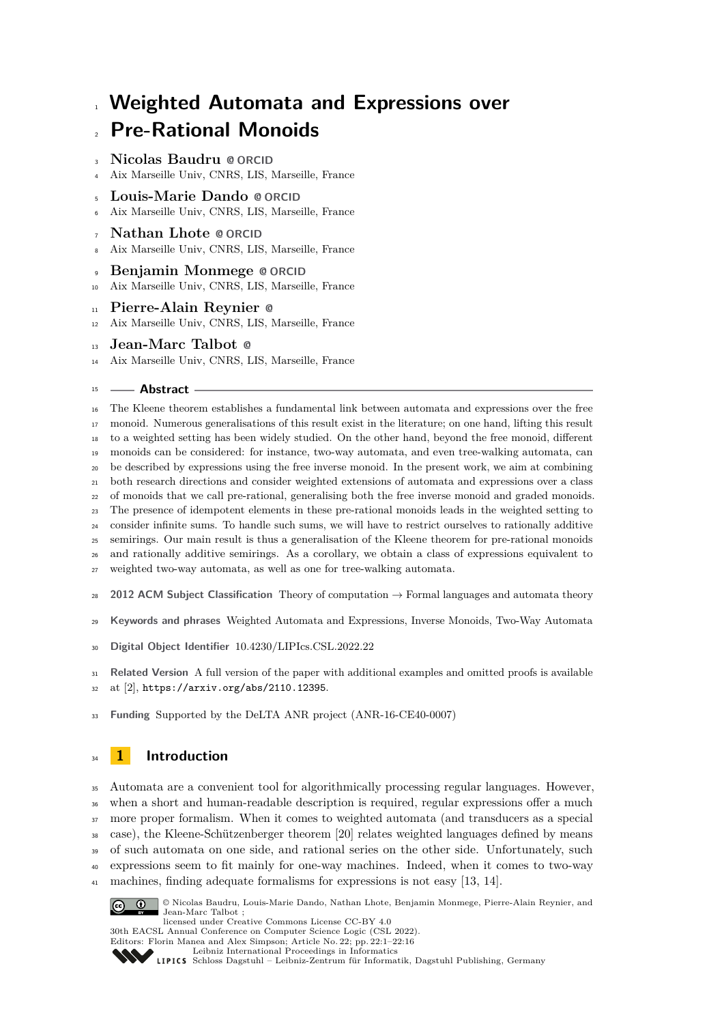# **Weighted Automata and Expressions over Pre-Rational Monoids**

- **Nicolas Baudru [@](mailto:nicolas.baudru@univ-amu.fr) [ORCID](https://orcid.org/0000-0002-1333-3432)**
- Aix Marseille Univ, CNRS, LIS, Marseille, France
- **Louis-Marie Dando [@](mailto:louis-marie.dando@univ-amu.fr) [ORCID](https://orcid.org/0000-0002-0199-8883)**
- Aix Marseille Univ, CNRS, LIS, Marseille, France
- **Nathan Lhote [@](mailto:nathan.lhote@univ-amu.fr) [ORCID](https://orcid.org/0000-0003-3303-5368)**
- Aix Marseille Univ, CNRS, LIS, Marseille, France
- **Benjamin Monmege [@](mailto:benjamin.monmege@univ-amu.fr) [ORCID](https://orcid.org/0000-0002-4717-9955)**
- Aix Marseille Univ, CNRS, LIS, Marseille, France
- **Pierre-Alain Reynier [@](mailto:pierre-alain.reynier@univ-amu.fr)**
- Aix Marseille Univ, CNRS, LIS, Marseille, France
- **Jean-Marc Talbot [@](mailto:jean-marc.talbot@univ-amu.fr)**
- Aix Marseille Univ, CNRS, LIS, Marseille, France

### **Abstract**

 The Kleene theorem establishes a fundamental link between automata and expressions over the free monoid. Numerous generalisations of this result exist in the literature; on one hand, lifting this result to a weighted setting has been widely studied. On the other hand, beyond the free monoid, different monoids can be considered: for instance, two-way automata, and even tree-walking automata, can be described by expressions using the free inverse monoid. In the present work, we aim at combining both research directions and consider weighted extensions of automata and expressions over a class of monoids that we call pre-rational, generalising both the free inverse monoid and graded monoids. The presence of idempotent elements in these pre-rational monoids leads in the weighted setting to consider infinite sums. To handle such sums, we will have to restrict ourselves to rationally additive semirings. Our main result is thus a generalisation of the Kleene theorem for pre-rational monoids and rationally additive semirings. As a corollary, we obtain a class of expressions equivalent to weighted two-way automata, as well as one for tree-walking automata. **2012 ACM Subject Classification** Theory of computation → Formal languages and automata theory

- **Keywords and phrases** Weighted Automata and Expressions, Inverse Monoids, Two-Way Automata
- **Digital Object Identifier** [10.4230/LIPIcs.CSL.2022.22](https://doi.org/10.4230/LIPIcs.CSL.2022.22)

 **Related Version** A full version of the paper with additional examples and omitted proofs is available at [\[2\]](#page-14-0), <https://arxiv.org/abs/2110.12395>.

**Funding** Supported by the DeLTA ANR project (ANR-16-CE40-0007)

# **1 Introduction**

 Automata are a convenient tool for algorithmically processing regular languages. However, when a short and human-readable description is required, regular expressions offer a much more proper formalism. When it comes to weighted automata (and transducers as a special case), the Kleene-Schützenberger theorem [\[20\]](#page-15-0) relates weighted languages defined by means of such automata on one side, and rational series on the other side. Unfortunately, such expressions seem to fit mainly for one-way machines. Indeed, when it comes to two-way machines, finding adequate formalisms for expressions is not easy [\[13,](#page-15-1) [14\]](#page-15-2).



© Nicolas Baudru, Louis-Marie Dando, Nathan Lhote, Benjamin Monmege, Pierre-Alain Reynier, and Jean-Marc Talbot ;

licensed under Creative Commons License CC-BY 4.0 30th EACSL Annual Conference on Computer Science Logic (CSL 2022).

Editors: Florin Manea and Alex Simpson; Article No. 22; pp. 22:1–22:16 [Leibniz International Proceedings in Informatics](https://www.dagstuhl.de/lipics/)



[Schloss Dagstuhl – Leibniz-Zentrum für Informatik, Dagstuhl Publishing, Germany](https://www.dagstuhl.de)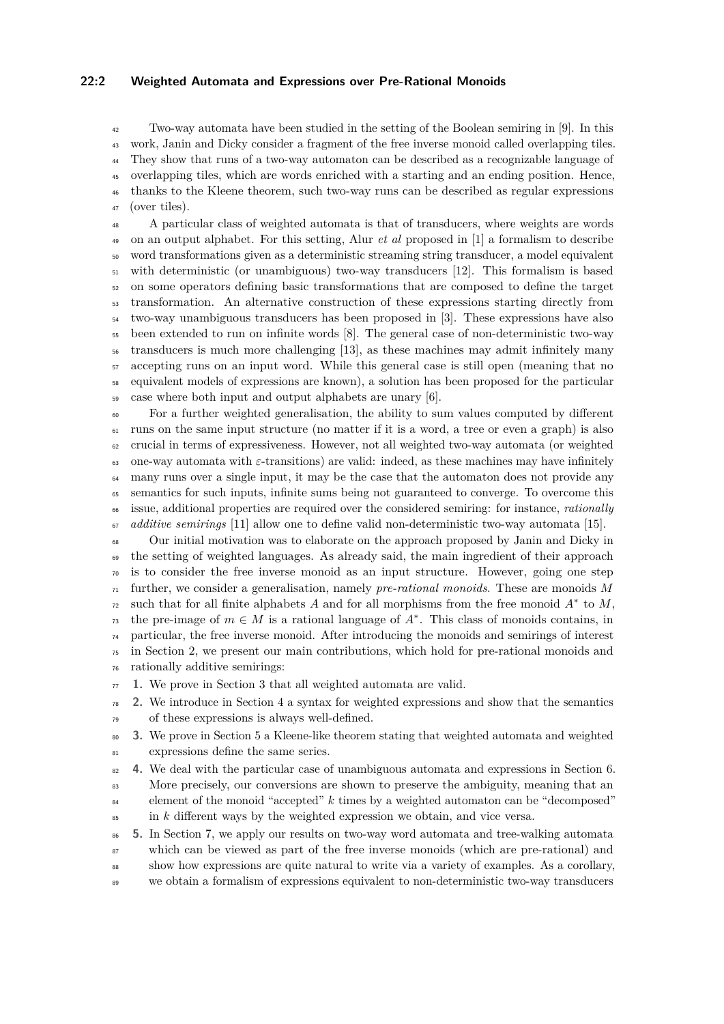### **22:2 Weighted Automata and Expressions over Pre-Rational Monoids**

 Two-way automata have been studied in the setting of the Boolean semiring in [\[9\]](#page-15-3). In this work, Janin and Dicky consider a fragment of the free inverse monoid called overlapping tiles. They show that runs of a two-way automaton can be described as a recognizable language of overlapping tiles, which are words enriched with a starting and an ending position. Hence, thanks to the Kleene theorem, such two-way runs can be described as regular expressions (over tiles).

 A particular class of weighted automata is that of transducers, where weights are words on an output alphabet. For this setting, Alur *et al* proposed in [\[1\]](#page-14-1) a formalism to describe word transformations given as a deterministic streaming string transducer, a model equivalent with deterministic (or unambiguous) two-way transducers [\[12\]](#page-15-4). This formalism is based on some operators defining basic transformations that are composed to define the target transformation. An alternative construction of these expressions starting directly from two-way unambiguous transducers has been proposed in [\[3\]](#page-15-5). These expressions have also been extended to run on infinite words [\[8\]](#page-15-6). The general case of non-deterministic two-way transducers is much more challenging [\[13\]](#page-15-1), as these machines may admit infinitely many accepting runs on an input word. While this general case is still open (meaning that no equivalent models of expressions are known), a solution has been proposed for the particular case where both input and output alphabets are unary [\[6\]](#page-15-7).

 For a further weighted generalisation, the ability to sum values computed by different runs on the same input structure (no matter if it is a word, a tree or even a graph) is also crucial in terms of expressiveness. However, not all weighted two-way automata (or weighted 63 one-way automata with  $\varepsilon$ -transitions) are valid: indeed, as these machines may have infinitely <sup>64</sup> many runs over a single input, it may be the case that the automaton does not provide any semantics for such inputs, infinite sums being not guaranteed to converge. To overcome this issue, additional properties are required over the considered semiring: for instance, *rationally additive semirings* [\[11\]](#page-15-8) allow one to define valid non-deterministic two-way automata [\[15\]](#page-15-9).

 Our initial motivation was to elaborate on the approach proposed by Janin and Dicky in <sub>69</sub> the setting of weighted languages. As already said, the main ingredient of their approach is to consider the free inverse monoid as an input structure. However, going one step further, we consider a generalisation, namely *pre-rational monoids*. These are monoids *M* such that for all finite alphabets *A* and for all morphisms from the free monoid  $A^*$  to  $M$ , the pre-image of  $m \in M$  is a rational language of  $A^*$ . This class of monoids contains, in particular, the free inverse monoid. After introducing the monoids and semirings of interest in Section [2,](#page-2-0) we present our main contributions, which hold for pre-rational monoids and rationally additive semirings:

**1.** We prove in Section [3](#page-4-0) that all weighted automata are valid.

 **2.** We introduce in Section [4](#page-6-0) a syntax for weighted expressions and show that the semantics of these expressions is always well-defined.

- **3.** We prove in Section [5](#page-9-0) a Kleene-like theorem stating that weighted automata and weighted expressions define the same series.
- **4.** We deal with the particular case of unambiguous automata and expressions in Section [6.](#page-10-0) 83 More precisely, our conversions are shown to preserve the ambiguity, meaning that an element of the monoid "accepted" *k* times by a weighted automaton can be "decomposed"  $\sin k$  different ways by the weighted expression we obtain, and vice versa.
- **5.** In Section [7,](#page-11-0) we apply our results on two-way word automata and tree-walking automata which can be viewed as part of the free inverse monoids (which are pre-rational) and show how expressions are quite natural to write via a variety of examples. As a corollary, we obtain a formalism of expressions equivalent to non-deterministic two-way transducers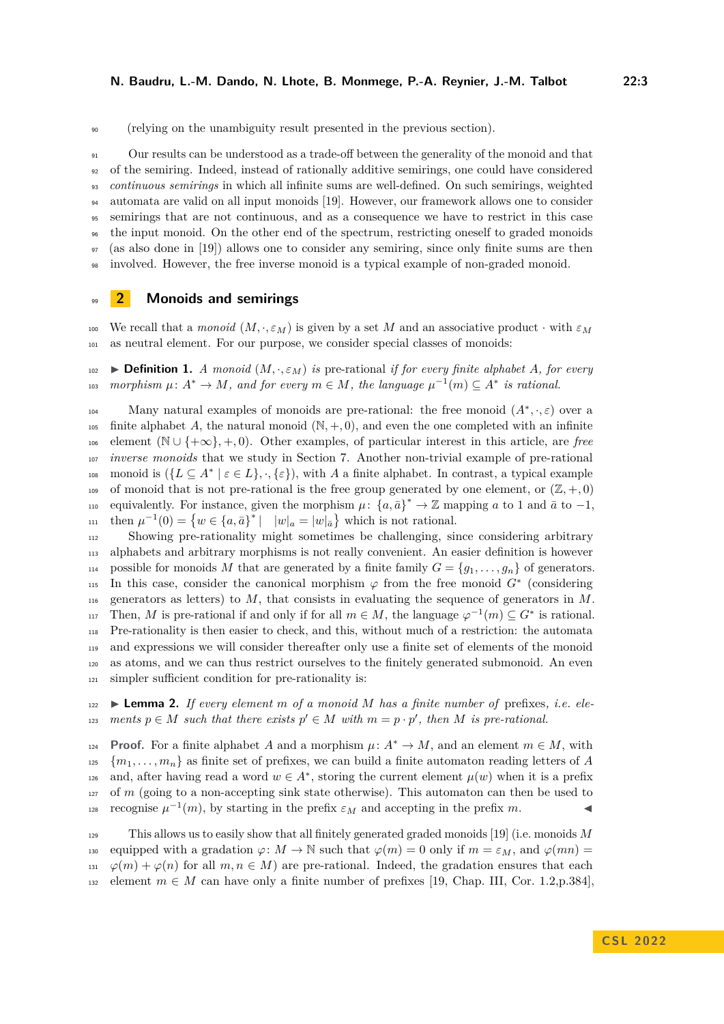<sup>90</sup> (relying on the unambiguity result presented in the previous section).

 Our results can be understood as a trade-off between the generality of the monoid and that of the semiring. Indeed, instead of rationally additive semirings, one could have considered *continuous semirings* in which all infinite sums are well-defined. On such semirings, weighted automata are valid on all input monoids [\[19\]](#page-15-10). However, our framework allows one to consider semirings that are not continuous, and as a consequence we have to restrict in this case the input monoid. On the other end of the spectrum, restricting oneself to graded monoids (as also done in [\[19\]](#page-15-10)) allows one to consider any semiring, since only finite sums are then involved. However, the free inverse monoid is a typical example of non-graded monoid.

# <span id="page-2-0"></span><sup>99</sup> **2 Monoids and semirings**

100 We recall that a *monoid*  $(M, \cdot, \varepsilon_M)$  is given by a set M and an associative product  $\cdot$  with  $\varepsilon_M$ <sup>101</sup> as neutral element. For our purpose, we consider special classes of monoids:

 $\bullet$  **Definition 1.** *A monoid*  $(M, \cdot, \varepsilon_M)$  *is* pre-rational *if for every finite alphabet A, for every*  $\mu: A^* \to M$ , and for every  $m \in M$ , the language  $\mu^{-1}(m) \subseteq A^*$  is rational.

Many natural examples of monoids are pre-rational: the free monoid  $(A^*, \cdot, \varepsilon)$  over a 105 finite alphabet A, the natural monoid  $(\mathbb{N}, +, 0)$ , and even the one completed with an infinite <sup>106</sup> element (N ∪ {+∞}*,* +*,* 0). Other examples, of particular interest in this article, are *free* <sup>107</sup> *inverse monoids* that we study in Section [7.](#page-11-0) Another non-trivial example of pre-rational  $\alpha$ <sup>108</sup> monoid is  $(\{L \subseteq A^* \mid \varepsilon \in L\}, \cdot, \{\varepsilon\})$ , with *A* a finite alphabet. In contrast, a typical example <sup>109</sup> of monoid that is not pre-rational is the free group generated by one element, or  $(\mathbb{Z}, +, 0)$  $\mu$  equivalently. For instance, given the morphism  $\mu$ :  $\{a,\bar{a}\}^* \to \mathbb{Z}$  mapping *a* to 1 and  $\bar{a}$  to  $-1$ ,  $u_{11}$  then  $\mu^{-1}(0) = \{w \in \{a, \bar{a}\}^* \mid |w|_a = |w|_{\bar{a}}\}$  which is not rational.

 Showing pre-rationality might sometimes be challenging, since considering arbitrary alphabets and arbitrary morphisms is not really convenient. An easier definition is however 114 possible for monoids *M* that are generated by a finite family  $G = \{g_1, \ldots, g_n\}$  of generators. 115 In this case, consider the canonical morphism  $\varphi$  from the free monoid  $G^*$  (considering generators as letters) to *M*, that consists in evaluating the sequence of generators in *M*. Then, *M* is pre-rational if and only if for all  $m \in M$ , the language  $\varphi^{-1}(m) \subseteq G^*$  is rational. Pre-rationality is then easier to check, and this, without much of a restriction: the automata and expressions we will consider thereafter only use a finite set of elements of the monoid as atoms, and we can thus restrict ourselves to the finitely generated submonoid. An even simpler sufficient condition for pre-rationality is:

<span id="page-2-1"></span> $122 \rightarrow$  **Lemma 2.** *If every element m of a monoid M has a finite number of* prefixes, *i.e. elements*  $p \in M$  *such that there exists*  $p' \in M$  *with*  $m = p \cdot p'$ , *then M is pre-rational.* 

**Proof.** For a finite alphabet *A* and a morphism  $\mu: A^* \to M$ , and an element  $m \in M$ , with  $\{m_1, \ldots, m_n\}$  as finite set of prefixes, we can build a finite automaton reading letters of *A* and, after having read a word  $w \in A^*$ , storing the current element  $\mu(w)$  when it is a prefix  $127$  of *m* (going to a non-accepting sink state otherwise). This automaton can then be used to recognise  $\mu^{-1}(m)$ , by starting in the prefix  $\varepsilon_M$  and accepting in the prefix *m*.

<sup>129</sup> This allows us to easily show that all finitely generated graded monoids [\[19\]](#page-15-10) (i.e. monoids *M* 130 equipped with a gradation  $\varphi \colon M \to \mathbb{N}$  such that  $\varphi(m) = 0$  only if  $m = \varepsilon_M$ , and  $\varphi(mn) =$  $\varphi(m) + \varphi(n)$  for all  $m, n \in M$ ) are pre-rational. Indeed, the gradation ensures that each 132 element  $m \in M$  can have only a finite number of prefixes [\[19,](#page-15-10) Chap. III, Cor. 1.2, p. 384],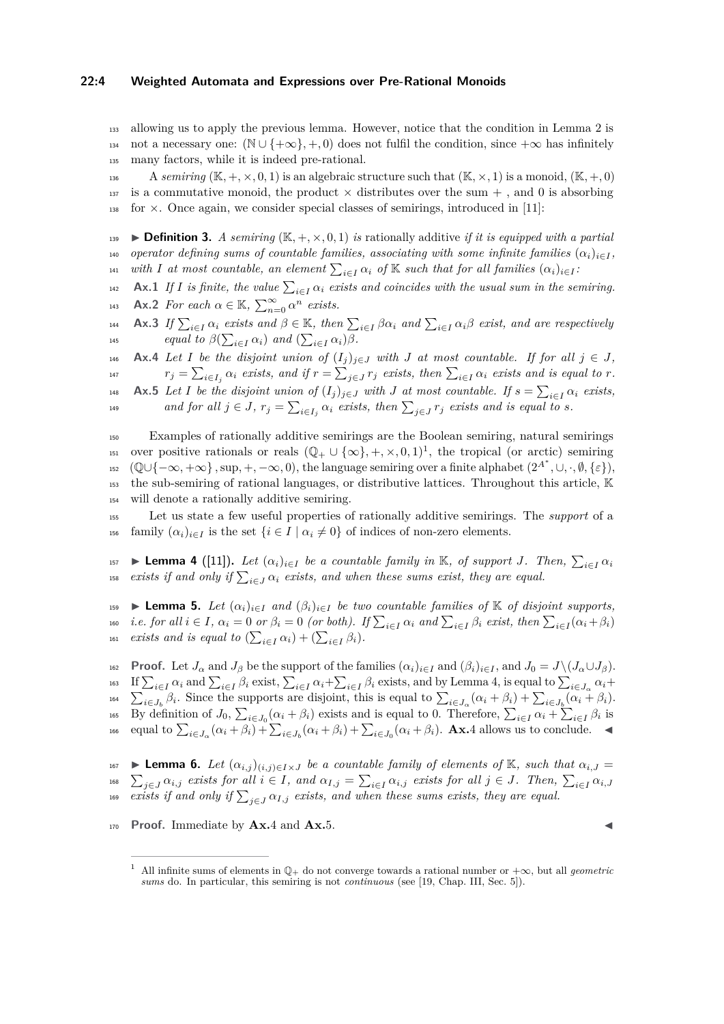### **22:4 Weighted Automata and Expressions over Pre-Rational Monoids**

<sup>133</sup> allowing us to apply the previous lemma. However, notice that the condition in Lemma [2](#page-2-1) is 134 not a necessary one:  $(N \cup \{+\infty\}, +, 0)$  does not fulfil the condition, since  $+\infty$  has infinitely <sup>135</sup> many factors, while it is indeed pre-rational.

136 A *semiring* ( $\mathbb{K}, +, \times, 0, 1$ ) is an algebraic structure such that ( $\mathbb{K}, \times, 1$ ) is a monoid, ( $\mathbb{K}, +, 0$ ) 137 is a commutative monoid, the product  $\times$  distributes over the sum  $+$ , and 0 is absorbing  $138$  for  $\times$ . Once again, we consider special classes of semirings, introduced in [\[11\]](#page-15-8):

**139**  $\blacktriangleright$  **Definition 3.** *A semiring* ( $\mathbb{K}, +, \times, 0, 1$ ) *is* rationally additive *if it is equipped with a partial* 140 *operator defining sums of countable families, associating with some infinite families*  $(\alpha_i)_{i \in I}$ , *with I* at most countable, an element  $\sum_{i \in I} \alpha_i$  of K such that for all families  $(\alpha_i)_{i \in I}$ :

<span id="page-3-4"></span>**Ax.1** *If I* is finite, the value  $\sum_{i \in I} \alpha_i$  exists and coincides with the usual sum in the semiring.

<span id="page-3-7"></span>**Ax.2** *For each*  $\alpha \in \mathbb{K}$ ,  $\sum_{n=0}^{\infty} \alpha^n$  *exists.* 

<span id="page-3-6"></span>144 **Ax.3** If  $\sum_{i \in I} \alpha_i$  exists and  $\beta \in \mathbb{K}$ , then  $\sum_{i \in I} \beta \alpha_i$  and  $\sum_{i \in I} \alpha_i \beta$  exist, and are respectively <sup>*i*</sup><sup>145</sup> *equal to*  $\beta(\sum_{i \in I} \alpha_i)$  *and*  $(\sum_{i \in I} \alpha_i)\beta$ *.* 

<span id="page-3-2"></span>146 **Ax.4** *Let I be the disjoint union of*  $(I_j)_{j \in J}$  *with J at most countable. If for all*  $j \in J$ , <sup>147</sup>  $r_j = \sum_{i \in I_j} \alpha_i$  exists, and if  $r = \sum_{j \in J} r_j$  exists, then  $\sum_{i \in I} \alpha_i$  exists and is equal to r.

<span id="page-3-3"></span>**Ax.5** Let I be the disjoint union of  $(I_j)_{j \in J}$  with *J* at most countable. If  $s = \sum_{i \in I} \alpha_i$  exists, *and for all*  $j \in J$ ,  $r_j = \sum_{i \in I_j} \alpha_i$  *exists, then*  $\sum_{j \in J} r_j$  *exists and is equal to s.* 

<sup>150</sup> Examples of rationally additive semirings are the Boolean semiring, natural semirings over positive rationals or reals  $(\mathbb{Q}_+ \cup \{\infty\}, +, \times, 0, 1)^1$  $(\mathbb{Q}_+ \cup \{\infty\}, +, \times, 0, 1)^1$  $(\mathbb{Q}_+ \cup \{\infty\}, +, \times, 0, 1)^1$ , the tropical (or arctic) semiring  $\mathbb{E}\left\{ \left[ \mathbb{Q} \cup \{ -\infty, +\infty \} , \sup_+ , -\infty, 0 \right], \text{ the language semiring over a finite alphabet } (2^{A^*}, \cup, \cdot, \emptyset, \{\varepsilon\} \right],$ <sup>153</sup> the sub-semiring of rational languages, or distributive lattices. Throughout this article, K <sup>154</sup> will denote a rationally additive semiring.

<sup>155</sup> Let us state a few useful properties of rationally additive semirings. The *support* of a 156 family  $(\alpha_i)_{i \in I}$  is the set  $\{i \in I \mid \alpha_i \neq 0\}$  of indices of non-zero elements.

<span id="page-3-1"></span>► **Lemma 4** ([\[11\]](#page-15-8)). Let  $(\alpha_i)_{i \in I}$  be a countable family in K, of support *J*. Then,  $\sum_{i \in I} \alpha_i$ 157 <sup>158</sup> *exists if and only if*  $\sum_{i \in J} \alpha_i$  *exists, and when these sums exist, they are equal.* 

<span id="page-3-5"></span><sup>159</sup> I **Lemma 5.** *Let* (*αi*)*i*∈*<sup>I</sup> and* (*βi*)*i*∈*<sup>I</sup> be two countable families of* K *of disjoint supports,* <sup>160</sup> i.e. for all  $i \in I$ ,  $\alpha_i = 0$  or  $\beta_i = 0$  (or both). If  $\sum_{i \in I} \alpha_i$  and  $\sum_{i \in I} \beta_i$  exist, then  $\sum_{i \in I} (\alpha_i + \beta_i)$ *exists and is equal to*  $(\sum_{i \in I} \alpha_i) + (\sum_{i \in I} \beta_i)$ *.* 

162 **Proof.** Let  $J_{\alpha}$  and  $J_{\beta}$  be the support of the families  $(\alpha_i)_{i \in I}$  and  $(\beta_i)_{i \in I}$ , and  $J_0 = J \setminus (J_{\alpha} \cup J_{\beta})$ . <sup>163</sup> If  $\sum_{i\in I}\alpha_i$  and  $\sum_{i\in I}\beta_i$  exist,  $\sum_{i\in I}\alpha_i+\sum_{i\in I}\beta_i$  exists, and by Lemma [4,](#page-3-1) is equal to  $\sum_{i\in J_\alpha}\alpha_i+$ <sup>164</sup>  $\sum_{i\in J_b}\beta_i$ . Since the supports are disjoint, this is equal to  $\sum_{i\in J_\alpha}(\alpha_i+\beta_i)+\sum_{i\in J_b}(\alpha_i+\beta_i)$ . <sup>165</sup> By definition of  $J_0$ ,  $\sum_{i \in J_0} (\alpha_i + \beta_i)$  exists and is equal to 0. Therefore,  $\sum_{i \in I} \alpha_i + \sum_{i \in I} \beta_i$  is  $\sum_{i\in J_0}$  equal to  $\sum_{i\in J_0} (\alpha_i + \beta_i) + \sum_{i\in J_0} (\alpha_i + \beta_i) + \sum_{i\in J_0} (\alpha_i + \beta_i)$ . Ax.[4](#page-3-2) allows us to conclude.

<span id="page-3-8"></span> $\bullet$  **Lemma 6.** *Let*  $(\alpha_{i,j})_{(i,j)\in I\times J}$  *be a countable family of elements of* K, such that  $\alpha_{i,J}$ <sup>168</sup>  $\sum_{j\in J}\alpha_{i,j}$  exists for all  $i\in I$ , and  $\alpha_{I,j}=\sum_{i\in I}\alpha_{i,j}$  exists for all  $j\in J$ . Then,  $\sum_{i\in I}\alpha_{i,J}$ <sup>169</sup> *exists if and only if*  $\sum_{j \in J} \alpha_{I,j}$  *exists, and when these sums exists, they are equal.* 

170 **Proof.** Immediate by **Ax.**[4](#page-3-2) and **Ax.**[5.](#page-3-3)

<span id="page-3-0"></span><sup>&</sup>lt;sup>1</sup> All infinite sums of elements in  $\mathbb{Q}_+$  do not converge towards a rational number or  $+\infty$ , but all *geometric sums* do. In particular, this semiring is not *continuous* (see [\[19,](#page-15-10) Chap. III, Sec. 5]).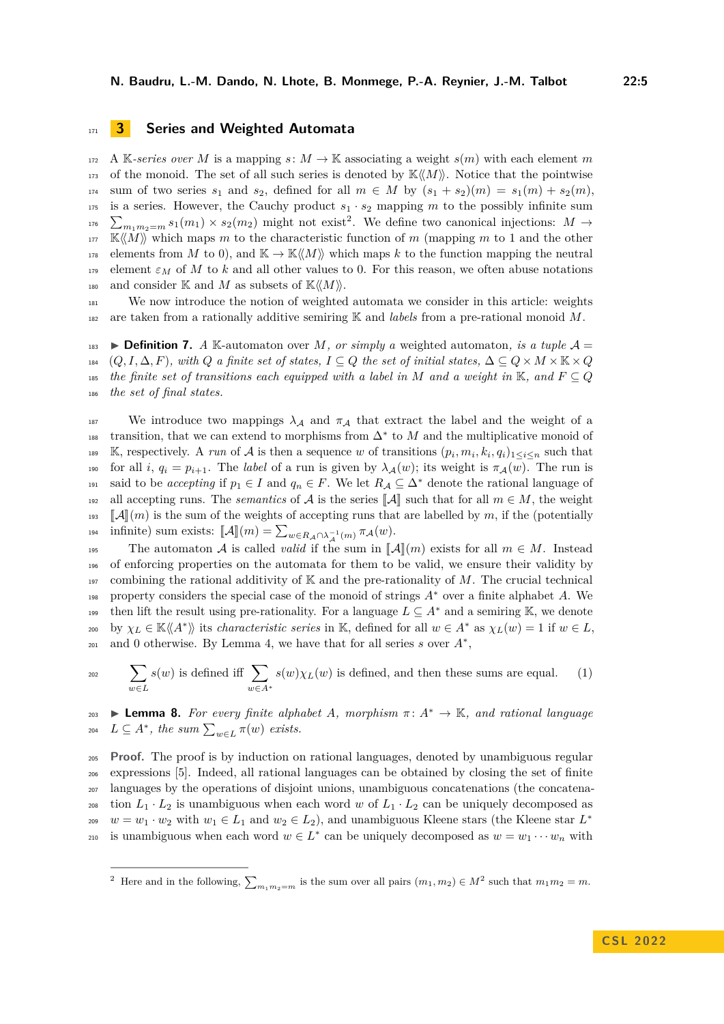# <span id="page-4-0"></span><sup>171</sup> **3 Series and Weighted Automata**

 $172$  A K-series over M is a mapping  $s: M \to \mathbb{K}$  associating a weight  $s(m)$  with each element m 173 of the monoid. The set of all such series is denoted by  $\mathbb{K}\langle\langle M\rangle\rangle$ . Notice that the pointwise 174 sum of two series  $s_1$  and  $s_2$ , defined for all  $m \in M$  by  $(s_1 + s_2)(m) = s_1(m) + s_2(m)$ . 175 is a series. However, the Cauchy product  $s_1 \cdot s_2$  mapping m to the possibly infinite sum <sup>176</sup>  $\sum_{m_1m_2=m} s_1(m_1) \times s_2(m_2)$  $\sum_{m_1m_2=m} s_1(m_1) \times s_2(m_2)$  $\sum_{m_1m_2=m} s_1(m_1) \times s_2(m_2)$  might not exist<sup>2</sup>. We define two canonical injections:  $M \to$  $\mathbb{K}\langle\langle M\rangle\rangle$  which maps *m* to the characteristic function of *m* (mapping *m* to 1 and the other 178 elements from *M* to 0), and  $\mathbb{K} \to \mathbb{K} \langle M \rangle$  which maps *k* to the function mapping the neutral 179 element  $\varepsilon_M$  of M to k and all other values to 0. For this reason, we often abuse notations 180 and consider K and M as subsets of  $\mathbb{K}\langle\langle M\rangle\rangle$ .

<sup>181</sup> We now introduce the notion of weighted automata we consider in this article: weights <sup>182</sup> are taken from a rationally additive semiring K and *labels* from a pre-rational monoid *M*.

**Definition 7.** *A* K-automaton over *M, or simply a* weighted automaton, *is a tuple*  $\mathcal{A} =$ 184 (*Q, I,*  $\Delta$ *, F*)*, with Q a finite set of states,*  $I \subseteq Q$  *the set of initial states,*  $\Delta \subseteq Q \times M \times \mathbb{K} \times Q$ *the finite set of transitions each equipped with a label in*  $M$  *and a weight in*  $K$ *, and*  $F \subseteq Q$ *the set of final states.*

187 We introduce two mappings  $\lambda_A$  and  $\pi_A$  that extract the label and the weight of a transition, that we can extend to morphisms from  $\Delta^*$  to *M* and the multiplicative monoid of **Example 189** *K*, respectively. A *run* of *A* is then a sequence *w* of transitions  $(p_i, m_i, k_i, q_i)_{1 \leq i \leq n}$  such that 190 for all *i*,  $q_i = p_{i+1}$ . The *label* of a run is given by  $\lambda_A(w)$ ; its weight is  $\pi_A(w)$ . The run is said to be *accepting* if  $p_1 \in I$  and  $q_n \in F$ . We let  $R_A \subseteq \Delta^*$  denote the rational language of 192 all accepting runs. The *semantics* of A is the series  $[\![A]\!]$  such that for all  $m \in M$ , the weight  $[\![A]\!]$   $[m]$  is the sum of the weights of accepting runs that are labelled by m, if the (potentially <sup>193</sup>  $\llbracket \mathcal{A} \rrbracket(m)$  is the sum of the weights of accepting runs that are labelled by *m*, if the (potentially infinite) sum exists:  $\llbracket \mathcal{A} \rrbracket(m) = \sum_{v \in R} \sum_{v \in V} a_v (w)$ . infinite) sum exists:  $\llbracket \mathcal{A} \rrbracket(m) = \sum_{w \in R_A \cap \lambda_A^{-1}(m)} \pi_{\mathcal{A}}(w)$ .

195 The automaton A is called *valid* if the sum in  $[\![A]\!] (m)$  exists for all  $m \in M$ . Instead<br>196 of enforcing properties on the automata for them to be valid, we ensure their validity by of enforcing properties on the automata for them to be valid, we ensure their validity by 197 combining the rational additivity of  $\mathbb K$  and the pre-rationality of  $M$ . The crucial technical 198 property considers the special case of the monoid of strings  $A^*$  over a finite alphabet *A*. We then lift the result using pre-rationality. For a language  $L \subseteq A^*$  and a semiring K, we denote  $\chi_L \in \mathbb{K} \langle \langle A^* \rangle \rangle$  its *characteristic series* in K, defined for all  $w \in A^*$  as  $\chi_L(w) = 1$  if  $w \in L$ , and 0 otherwise. By Lemma [4,](#page-3-1) we have that for all series  $s$  over  $A^*$ ,

<span id="page-4-2"></span>
$$
\sum_{w \in L} s(w) \text{ is defined iff } \sum_{w \in A^*} s(w) \chi_L(w) \text{ is defined, and then these sums are equal.}
$$
 (1)

<span id="page-4-3"></span>**203 I Lemma 8.** For every finite alphabet A, morphism  $\pi: A^* \to \mathbb{K}$ , and rational language  $L \subseteq A^*$ , the sum  $\sum_{w \in L} \pi(w)$  exists.

<sup>205</sup> **Proof.** The proof is by induction on rational languages, denoted by unambiguous regular <sup>206</sup> expressions [\[5\]](#page-15-11). Indeed, all rational languages can be obtained by closing the set of finite <sup>207</sup> languages by the operations of disjoint unions, unambiguous concatenations (the concatena-<sup>208</sup> tion  $L_1 \cdot L_2$  is unambiguous when each word *w* of  $L_1 \cdot L_2$  can be uniquely decomposed as  $w = w_1 \cdot w_2$  with  $w_1 \in L_1$  and  $w_2 \in L_2$ ), and unambiguous Kleene stars (the Kleene star  $L^*$ 209 is unambiguous when each word  $w \in L^*$  can be uniquely decomposed as  $w = w_1 \cdots w_n$  with

<span id="page-4-1"></span><sup>&</sup>lt;sup>2</sup> Here and in the following,  $\sum_{m_1m_2=m}$  is the sum over all pairs  $(m_1, m_2) \in M^2$  such that  $m_1m_2 = m$ .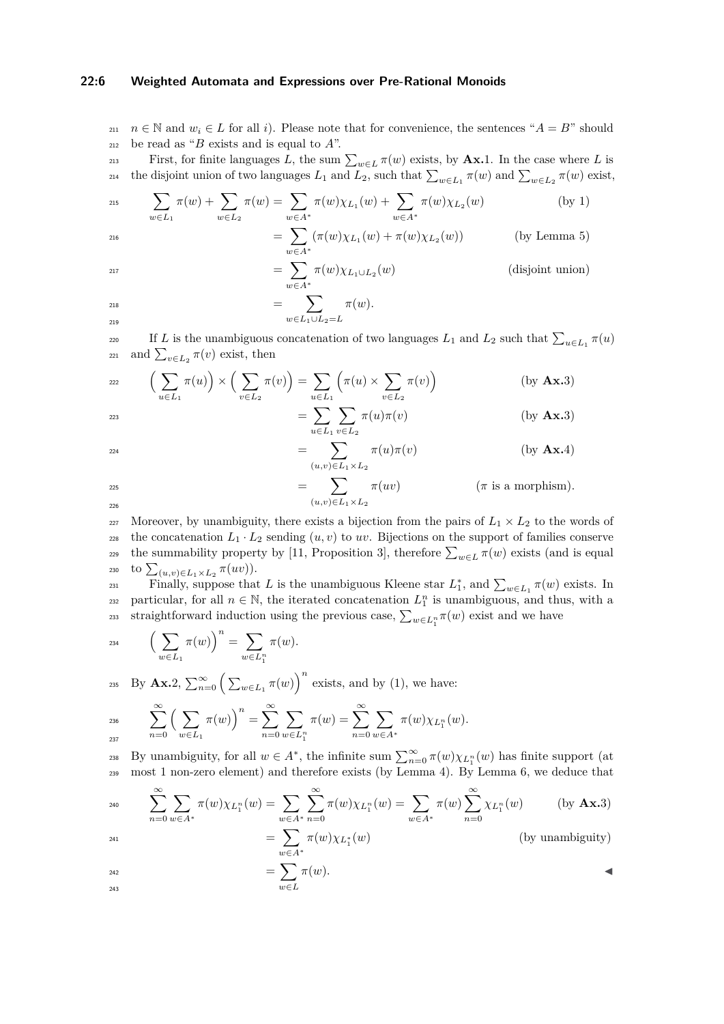### **22:6 Weighted Automata and Expressions over Pre-Rational Monoids**

211  $n \in \mathbb{N}$  and  $w_i \in L$  for all *i*). Please note that for convenience, the sentences " $A = B$ " should <sup>212</sup> be read as "*B* exists and is equal to *A*".

First, for finite languages *L*, the sum  $\sum_{w \in L} \pi(w)$  exists, by **Ax.**[1.](#page-3-4) In the case where *L* is the disjoint union of two languages  $L_1$  and  $L_2$ , such that  $\sum_{w \in L_1} \pi(w)$  and  $\sum_{w \in L_2} \pi(w)$  exist,

$$
\sum_{w \in L_1} \pi(w) + \sum_{w \in L_2} \pi(w) = \sum_{w \in A^*} \pi(w) \chi_{L_1}(w) + \sum_{w \in A^*} \pi(w) \chi_{L_2}(w)
$$
 (by 1)  

$$
= \sum_{w \in A^*} (\pi(w) \chi_{L_1}(w) + \pi(w) \chi_{L_2}(w))
$$
 (by Lemma 5)

$$
= \sum_{w \in A^*} \pi(w) \chi_{L_1 \cup L_2}(w) \tag{disjoint union}
$$

$$
= \sum_{w \in L_1 \cup L_2 = L} \pi(w).
$$

If *L* is the unambiguous concatenation of two languages  $L_1$  and  $L_2$  such that  $\sum_{u \in L_1} \pi(u)$ 221 and  $\sum_{v \in L_2} \pi(v)$  exist, then

$$
\sum_{u \in L_1} \pi(u) \times \left( \sum_{v \in L_2} \pi(v) \right) = \sum_{u \in L_1} \left( \pi(u) \times \sum_{v \in L_2} \pi(v) \right) \tag{by \mathbf{A}x.3}
$$

$$
= \sum_{u \in L_1} \sum_{v \in L_2} \pi(u)\pi(v) \qquad \qquad \text{(by Ax.3)}
$$

$$
= \sum_{(u,v)\in L_1\times L_2} \pi(u)\pi(v) \qquad \qquad (by \mathbf{Ax}.4)
$$

$$
= \sum_{(u,v)\in L_1\times L_2} \pi(uv) \qquad (\pi \text{ is a morphism}).
$$

227 Moreover, by unambiguity, there exists a bijection from the pairs of  $L_1 \times L_2$  to the words of <sup>228</sup> the concatenation  $L_1 \cdot L_2$  sending  $(u, v)$  to  $uv$ . Bijections on the support of families conserve the summability property by [\[11,](#page-15-8) Proposition 3], therefore  $\sum_{w \in L} \pi(w)$  exists (and is equal 230 **to**  $\sum_{(u,v) \in L_1 \times L_2}$  π(*uv*)).

Finally, suppose that *L* is the unambiguous Kleene star  $L_1^*$ , and  $\sum_{w \in L_1} \pi(w)$  exists. In particular, for all  $n \in \mathbb{N}$ , the iterated concatenation  $L_1^n$  is unambiguous, and thus, with a straightforward induction using the previous case,  $\sum_{w \in L_1^n} \pi(w)$  exist and we have

$$
_{234}\qquad \Big(\sum_{w\in L_1}\pi(w)\Big)^n=\sum_{w\in L_1^n}\pi(w).
$$

<sup>235</sup> By **Ax.**[2,](#page-3-7)  $\sum_{n=0}^{\infty} \left( \sum_{w \in L_1} \pi(w) \right)^n$  exists, and by [\(1\)](#page-4-2), we have:

$$
\sum_{237}^{\infty} \left( \sum_{w \in L_1} \pi(w) \right)^n = \sum_{n=0}^{\infty} \sum_{w \in L_1^n} \pi(w) = \sum_{n=0}^{\infty} \sum_{w \in A^*} \pi(w) \chi_{L_1^n}(w).
$$

By unambiguity, for all  $w \in A^*$ , the infinite sum  $\sum_{n=0}^{\infty} \pi(w) \chi_{L_1^n}(w)$  has finite support (at <sup>239</sup> most 1 non-zero element) and therefore exists (by Lemma [4\)](#page-3-1). By Lemma [6,](#page-3-8) we deduce that

$$
\sum_{n=0}^{\infty} \sum_{w \in A^*} \pi(w) \chi_{L_1^n}(w) = \sum_{w \in A^*} \sum_{n=0}^{\infty} \pi(w) \chi_{L_1^n}(w) = \sum_{w \in A^*} \pi(w) \sum_{n=0}^{\infty} \chi_{L_1^n}(w) \qquad \text{(by \textbf{Ax.3})}
$$
\n
$$
= \sum_{n=0}^{\infty} \pi(w) \chi_{L_1^n}(w) \qquad \text{(by unambiguity)}
$$

$$
= \sum_{w \in A^*} \pi(w) \chi_{L_1^*}(w) \tag{by unambiguity}
$$

$$
=\sum_{w\in L}\pi(w).
$$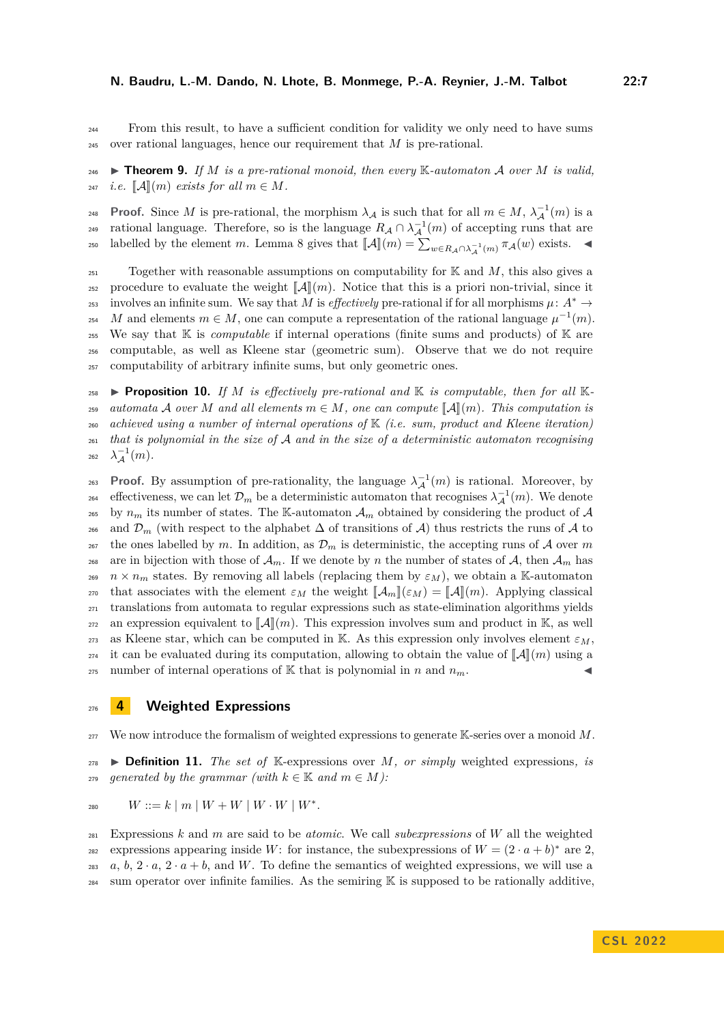<sup>244</sup> From this result, to have a sufficient condition for validity we only need to have sums <sup>245</sup> over rational languages, hence our requirement that *M* is pre-rational.

<span id="page-6-1"></span>246 **I Theorem 9.** If M is a pre-rational monoid, then every  $\mathbb{K}\text{-}automaton\mathcal{A}$  over M is valid. 247 *i.e.*  $\llbracket \mathcal{A} \rrbracket(m)$  *exists for all*  $m \in M$ *.* 

**Proof.** Since *M* is pre-rational, the morphism  $\lambda_{\mathcal{A}}$  is such that for all  $m \in M$ ,  $\lambda_{\mathcal{A}}^{-1}(m)$  is a rational language. Therefore, so is the language  $R_A \cap \lambda_A^{-1}(m)$  of accepting runs that are labelled by the element *m*. Lemma [8](#page-4-3) gives that  $[\![\mathcal{A}]\!](m) = \sum_{w \in R_{\mathcal{A}} \cap \lambda_{\mathcal{A}}^{-1}(m)} \pi_{\mathcal{A}}(w)$  exists.

 $T_{251}$  Together with reasonable assumptions on computability for  $K$  and  $M$ , this also gives a 252 procedure to evaluate the weight  $\llbracket \mathcal{A} \rrbracket(m)$ . Notice that this is a priori non-trivial, since it<br>
253 involves an infinite sum. We say that M is *effectively* pre-rational if for all morphisms  $\mu: A^* \to$ involves an infinite sum. We say that *M* is *effectively* pre-rational if for all morphisms  $\mu: A^* \to$ 254 *M* and elements  $m \in M$ , one can compute a representation of the rational language  $\mu^{-1}(m)$ . <sup>255</sup> We say that K is *computable* if internal operations (finite sums and products) of K are <sup>256</sup> computable, as well as Kleene star (geometric sum). Observe that we do not require <sup>257</sup> computability of arbitrary infinite sums, but only geometric ones.

**Proposition 10.** If M is effectively pre-rational and  $K$  is computable, then for all  $K$ -*automata A over M and all elements*  $m \in M$ , *one can compute*  $\llbracket A \rrbracket(m)$ *. This computation is*<br>260 *achieved using a number of internal operations* of  $\mathbb{K}$  (*i.e. sum, product and Kleene iteration*) *achieved using a number of internal operations of* K *(i.e. sum, product and Kleene iteration) that is polynomial in the size of* A *and in the size of a deterministic automaton recognising*  $\lambda_A^{-1}(m)$ *.* 

**Proof.** By assumption of pre-rationality, the language  $\lambda_A^{-1}(m)$  is rational. Moreover, by effectiveness, we can let  $\mathcal{D}_m$  be a deterministic automaton that recognises  $\lambda^{-1}_\mathcal{A}(m)$ . We denote <sup>265</sup> by  $n_m$  its number of states. The K-automaton  $\mathcal{A}_m$  obtained by considering the product of  $\mathcal{A}$ 266 and  $\mathcal{D}_m$  (with respect to the alphabet  $\Delta$  of transitions of  $\mathcal{A}$ ) thus restricts the runs of  $\mathcal{A}$  to <sup>267</sup> the ones labelled by *m*. In addition, as  $\mathcal{D}_m$  is deterministic, the accepting runs of A over *m* <sup>268</sup> are in bijection with those of  $\mathcal{A}_m$ . If we denote by *n* the number of states of  $\mathcal{A}$ , then  $\mathcal{A}_m$  has <sup>269</sup>  $n \times n_m$  states. By removing all labels (replacing them by  $\varepsilon_M$ ), we obtain a K-automaton 270 that associates with the element  $\varepsilon_M$  the weight  $[\![\mathcal{A}_m]\!](\varepsilon_M) = [\![\mathcal{A}]\!](m)$ . Applying classical translations from automata to regular expressions such as state-elimination algorithms vields <sup>271</sup> translations from automata to regular expressions such as state-elimination algorithms yields <sup>272</sup> an expression equivalent to  $\llbracket \mathcal{A} \rrbracket(m)$ . This expression involves sum and product in K, as well<br><sup>273</sup> as Kleene star, which can be computed in K. As this expression only involves element  $\varepsilon_M$ . as Kleene star, which can be computed in K. As this expression only involves element  $\varepsilon_M$ . <sup>274</sup> it can be evaluated during its computation, allowing to obtain the value of  $[\![A]\!](m)$  using a<br><sup>275</sup> number of internal operations of K that is polynomial in *n* and *n*<sub>m</sub>. number of internal operations of K that is polynomial in *n* and  $n_m$ .

# <span id="page-6-0"></span><sup>276</sup> **4 Weighted Expressions**

<sup>277</sup> We now introduce the formalism of weighted expressions to generate K-series over a monoid *M*.

**278 Definition 11.** *The set of* K-expressions over *M*, *or simply* weighted expressions, *is* 279 generated by the grammar (with  $k \in \mathbb{K}$  and  $m \in M$ ):

$$
W ::= k \mid m \mid W + W \mid W \cdot W \mid W^*.
$$

<sup>281</sup> Expressions *k* and *m* are said to be *atomic*. We call *subexpressions* of *W* all the weighted expressions appearing inside *W*: for instance, the subexpressions of  $W = (2 \cdot a + b)^*$  are 2, 283 *a*, *b*,  $2 \cdot a$ ,  $2 \cdot a + b$ , and *W*. To define the semantics of weighted expressions, we will use a <sup>284</sup> sum operator over infinite families. As the semiring  $\mathbb K$  is supposed to be rationally additive,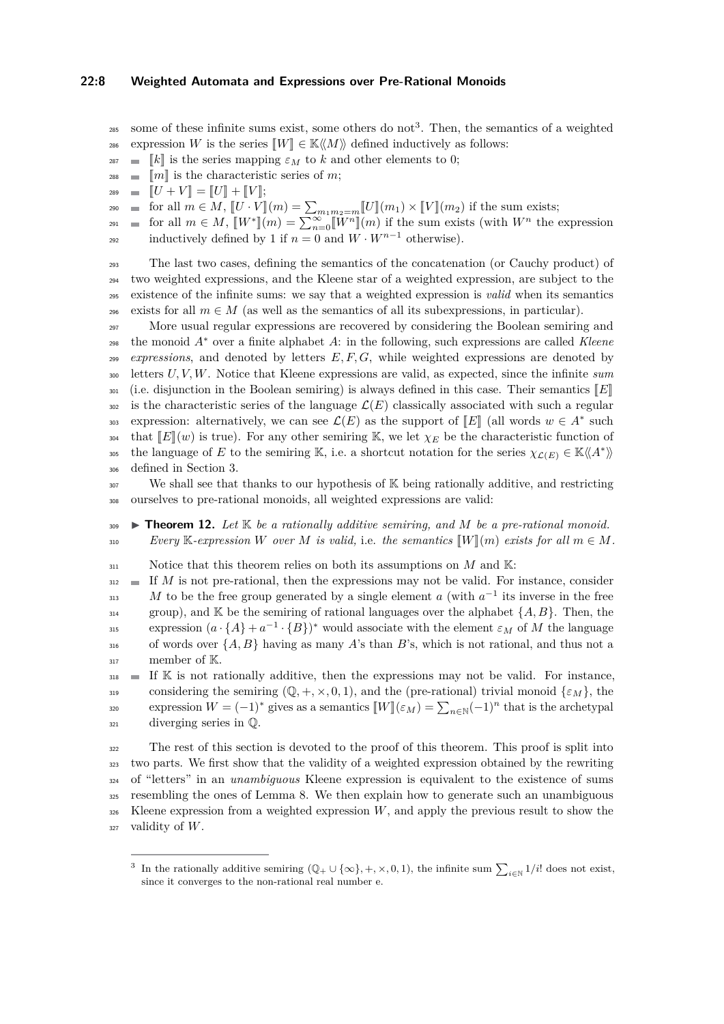### **22:8 Weighted Automata and Expressions over Pre-Rational Monoids**

- $\frac{285}{285}$  some of these infinite sums exist, some others do not<sup>[3](#page-7-0)</sup>. Then, the semantics of a weighted
- 286 expression *W* is the series  $\llbracket W \rrbracket \in \mathbb{K} \langle \langle M \rangle \rangle$  defined inductively as follows:<br>287 <del>■ </del>  $\llbracket k \rrbracket$  is the series mapping  $\varepsilon_M$  to k and other elements to 0:
- <sup>287</sup>  $\blacksquare$   $[k]$  is the series mapping  $\varepsilon_M$  to *k* and other elements to 0;<br><sup>288</sup>  $\blacksquare$   $\llbracket m \rrbracket$  is the characteristic series of *m*;
- <sup>288</sup>  $\blacksquare$   $[\![m]\!]$  is the characteristic series of *m*;<br><sup>289</sup>  $\blacksquare$   $[\![U + V]\!] = [\![U]\!] + [\![V]\!]$ :
- 289  $[U + V] = [U] + [V];$ <br>
290 for all  $m \in M$ ,  $[U \cdot V]$

 $f(x) = \text{for all } m \in M, \llbracket U \cdot V \rrbracket(m) = \sum_{m_1 m_2 = m} \llbracket U \rrbracket(m_1) \times \llbracket V \rrbracket(m_2) \text{ if the sum exists; }$ 

 $f(x) = \text{for all } m \in M, \ \llbracket W^* \rrbracket(m) = \sum_{n=0}^{\infty} \llbracket W^n \rrbracket(m) \text{ if the sum exists (with } W^n \text{ the expression }$ inductively defined by 1 if  $n = 0$  and  $W \cdot W^{n-1}$  otherwise).

 The last two cases, defining the semantics of the concatenation (or Cauchy product) of two weighted expressions, and the Kleene star of a weighted expression, are subject to the existence of the infinite sums: we say that a weighted expression is *valid* when its semantics exists for all  $m \in M$  (as well as the semantics of all its subexpressions, in particular).

<sup>297</sup> More usual regular expressions are recovered by considering the Boolean semiring and 298 the monoid  $A^*$  over a finite alphabet  $A$ : in the following, such expressions are called *Kleene* <sup>299</sup> *expressions*, and denoted by letters *E, F, G*, while weighted expressions are denoted by <sup>300</sup> letters *U, V, W*. Notice that Kleene expressions are valid, as expected, since the infinite *sum* <sup>301</sup> (i.e. disjunction in the Boolean semiring) is always defined in this case. Their semantics  $[[E]]$ <br><sup>302</sup> is the characteristic series of the language  $\mathcal{L}(E)$  classically associated with such a regular is the characteristic series of the language  $\mathcal{L}(E)$  classically associated with such a regular expression: alternatively, we can see  $\mathcal{L}(E)$  as the support of  $\llbracket E \rrbracket$  (all words  $w \in A^*$  such<br>that  $\llbracket F \rrbracket(\omega)$  is two.) For any other semising  $\mathbb{K}$  and let  $\omega$  be the obeneticitie function of <sup>304</sup> that  $\llbracket E \rrbracket(w)$  is true). For any other semiring K, we let  $\chi_E$  be the characteristic function of<br><sup>305</sup> the language of *E* to the semiring K, i.e. a shortcut notation for the series  $\chi_{C(F)} \in K \ll A^*$ the language of *E* to the semiring K, i.e. a shortcut notation for the series  $\chi_{\mathcal{L}(E)} \in \mathbb{K} \langle \! \langle A^* \rangle \! \rangle$ <sup>306</sup> defined in Section [3.](#page-4-0)

<sup>307</sup> We shall see that thanks to our hypothesis of K being rationally additive, and restricting <sup>308</sup> ourselves to pre-rational monoids, all weighted expressions are valid:

- <span id="page-7-1"></span>309 **I Theorem 12.** Let  $K$  be a rationally additive semiring, and M be a pre-rational monoid. 310 *Every* K-expression *W* over *M* is valid, i.e. the semantics  $\llbracket W \rrbracket(m)$  exists for all  $m \in M$ .
- 311 Notice that this theorem relies on both its assumptions on *M* and K:

 $\mathbf{1}_{312}$  If *M* is not pre-rational, then the expressions may not be valid. For instance, consider  $M$  to be the free group generated by a single element *a* (with  $a^{-1}$  its inverse in the free  $_{314}$  group), and K be the semiring of rational languages over the alphabet  $\{A, B\}$ . Then, the expression  $(a \cdot \{A\} + a^{-1} \cdot \{B\})^*$  would associate with the element *εM* of *M* the language <sup>316</sup> of words over {*A, B*} having as many *A*'s than *B*'s, which is not rational, and thus not a <sup>317</sup> member of K.

 $\mathbf{I}$  If K is not rationally additive, then the expressions may not be valid. For instance, considering the semiring  $(\mathbb{Q}, +, \times, 0, 1)$ , and the (pre-rational) trivial monoid  $\{\varepsilon_M\}$ , the expression  $W = (-1)^*$  gives as a semantics  $[[W]](\varepsilon_M) = \sum_{n \in \mathbb{N}} (-1)^n$  that is the archetypal <sup>321</sup> diverging series in Q.

 The rest of this section is devoted to the proof of this theorem. This proof is split into two parts. We first show that the validity of a weighted expression obtained by the rewriting of "letters" in an *unambiguous* Kleene expression is equivalent to the existence of sums resembling the ones of Lemma [8.](#page-4-3) We then explain how to generate such an unambiguous Kleene expression from a weighted expression *W*, and apply the previous result to show the validity of *W*.

<span id="page-7-0"></span><sup>3</sup> In the rationally additive semiring  $(\mathbb{Q}_+ \cup \{\infty\}, +, \times, 0, 1)$ , the infinite sum  $\sum_{i \in \mathbb{N}} 1/i!$  does not exist, since it converges to the non-rational real number e.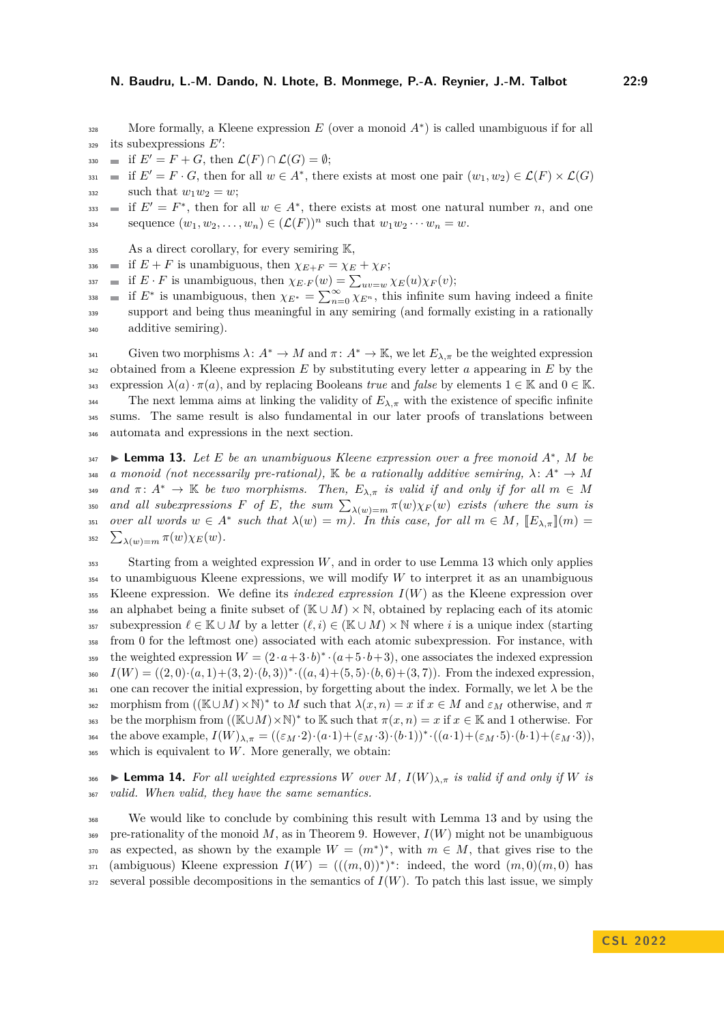More formally, a Kleene expression  $E$  (over a monoid  $A^*$ ) is called unambiguous if for all <sup>329</sup> its subexpressions E':

- $\mathfrak{so}$  if  $E' = F + G$ , then  $\mathcal{L}(F) \cap \mathcal{L}(G) = \emptyset$ ;
- $\mathcal{L}(F) = F \cdot G$ , then for all  $w \in A^*$ , there exists at most one pair  $(w_1, w_2) \in \mathcal{L}(F) \times \mathcal{L}(G)$  $_{332}$  such that  $w_1w_2 = w;$

 $is_3$  if  $E' = F^*$ , then for all  $w \in A^*$ , there exists at most one natural number *n*, and one sequence  $(w_1, w_2, \ldots, w_n) \in (\mathcal{L}(F))^n$  such that  $w_1 w_2 \cdots w_n = w$ .

- 335 As a direct corollary, for every semiring K,
- $\text{336}$  if  $E + F$  is unambiguous, then  $\chi_{E+F} = \chi_E + \chi_F$ ;
- $i$ <sup>337</sup> **u** if  $E \cdot F$  is unambiguous, then  $\chi_{E \cdot F}(w) = \sum_{uv=w} \chi_E(u) \chi_F(v);$
- $\lim_{n \to \infty}$  if  $E^*$  is unambiguous, then  $\chi_{E^*} = \sum_{n=0}^{\infty} \chi_{E^n}$ , this infinite sum having indeed a finite <sup>339</sup> support and being thus meaningful in any semiring (and formally existing in a rationally <sup>340</sup> additive semiring).

 Given two morphisms *λ*: *A*<sup>∗</sup> → *M* and *π* : *A*<sup>∗</sup> → K, we let *Eλ,π* be the weighted expression obtained from a Kleene expression *E* by substituting every letter *a* appearing in *E* by the expression  $λ(a) \cdot π(a)$ , and by replacing Booleans *true* and *false* by elements  $1 ∈ \mathbb{K}$  and  $0 ∈ \mathbb{K}$ . <sup>344</sup> The next lemma aims at linking the validity of  $E_{\lambda,\pi}$  with the existence of specific infinite sums. The same result is also fundamental in our later proofs of translations between automata and expressions in the next section.

<span id="page-8-0"></span> $I_{347}$  **► Lemma 13.** *Let E be an unambiguous Kleene expression over a free monoid*  $A^*$ , *M be* 348 *a monoid (not necessarily pre-rational).* K *be a rationally additive semiring,*  $\lambda: A^* \to M$ 349 *and*  $\pi: A^* \to \mathbb{K}$  *be two morphisms. Then,*  $E_{\lambda,\pi}$  *is valid if and only if for all*  $m \in M$  $\alpha$ <sub>350</sub> *and all subexpressions F of E, the sum*  $\sum_{\lambda(w)=m} \pi(w) \chi_F(w)$  *exists (where the sum is*  $\sum_{i=1}^{\infty}$  *over all words*  $w \in A^*$  *such that*  $\lambda(w) = m$ *). In this case, for all*  $m \in M$ ,  $\mathbb{E}_{\lambda,\pi} \mathbb{I}(m) = \sum_{i=1}^{\infty}$ 352  $\sum_{\lambda(w)=m} \pi(w) \chi_E(w)$ .

<sup>353</sup> Starting from a weighted expression *W*, and in order to use Lemma [13](#page-8-0) which only applies <sup>354</sup> to unambiguous Kleene expressions, we will modify *W* to interpret it as an unambiguous <sup>355</sup> Kleene expression. We define its *indexed expression I*(*W*) as the Kleene expression over 356 an alphabet being a finite subset of ( $\mathbb{K} \cup M$ ) × N, obtained by replacing each of its atomic 357 subexpression  $\ell \in \mathbb{K} \cup M$  by a letter  $(\ell, i) \in (\mathbb{K} \cup M) \times \mathbb{N}$  where *i* is a unique index (starting <sup>358</sup> from 0 for the leftmost one) associated with each atomic subexpression. For instance, with the weighted expression  $W = (2 \cdot a + 3 \cdot b)^* \cdot (a + 5 \cdot b + 3)$ , one associates the indexed expression 360  $I(W) = ((2,0) \cdot (a,1) + (3,2) \cdot (b,3))^* \cdot ((a,4) + (5,5) \cdot (b,6) + (3,7))$ . From the indexed expression, 361 one can recover the initial expression, by forgetting about the index. Formally, we let  $\lambda$  be the 362 morphism from  $((\mathbb{K} \cup M) \times \mathbb{N})^*$  to *M* such that  $\lambda(x, n) = x$  if  $x \in M$  and  $\varepsilon_M$  otherwise, and  $\pi$ 363 be the morphism from  $((\mathbb{K} \cup M) \times \mathbb{N})^*$  to K such that  $\pi(x, n) = x$  if  $x \in \mathbb{K}$  and 1 otherwise. For  $\mathcal{L}_{364}$  the above example,  $I(W)_{\lambda,\pi} = ((\varepsilon_M \cdot 2) \cdot (a \cdot 1) + (\varepsilon_M \cdot 3) \cdot (b \cdot 1))^* \cdot ((a \cdot 1) + (\varepsilon_M \cdot 5) \cdot (b \cdot 1) + (\varepsilon_M \cdot 3)),$ <sup>365</sup> which is equivalent to *W*. More generally, we obtain:

<span id="page-8-1"></span>366 **Example 14.** For all weighted expressions W over M,  $I(W)_{\lambda,\pi}$  is valid if and only if W is <sup>367</sup> *valid. When valid, they have the same semantics.*

<sup>368</sup> We would like to conclude by combining this result with Lemma [13](#page-8-0) and by using the  $369$  pre-rationality of the monoid M, as in Theorem [9.](#page-6-1) However,  $I(W)$  might not be unambiguous 370 as expected, as shown by the example  $W = (m^*)^*$ , with  $m \in M$ , that gives rise to the  $_{371}$  (ambiguous) Kleene expression  $I(W) = (((m, 0))^{*})^{*}$ : indeed, the word  $(m, 0)(m, 0)$  has  $372$  several possible decompositions in the semantics of  $I(W)$ . To patch this last issue, we simply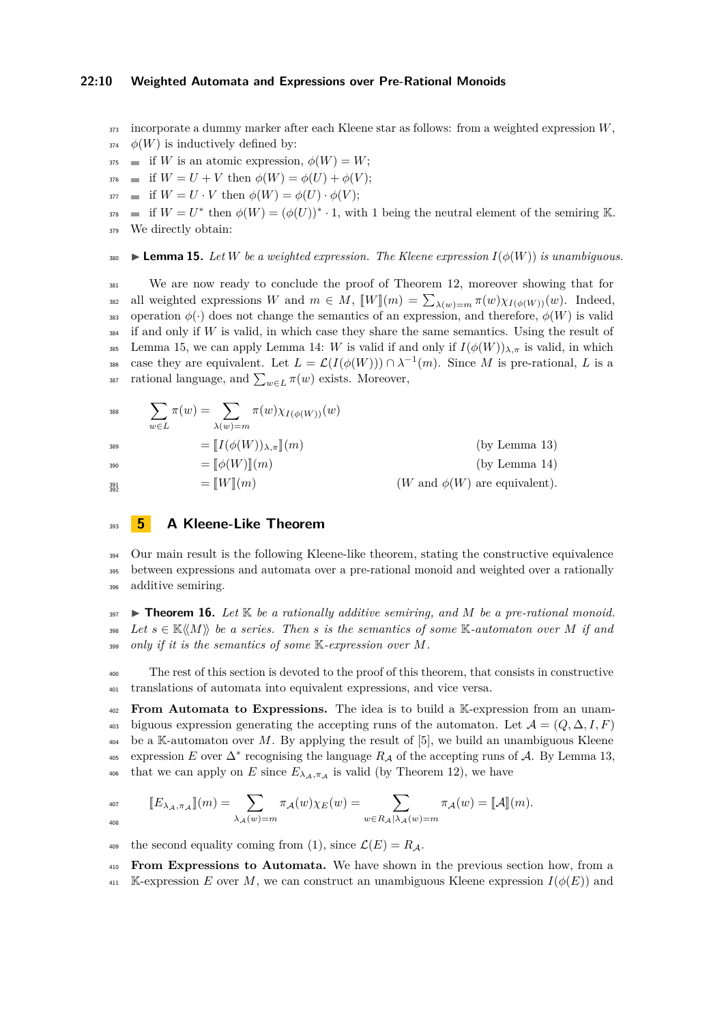### **22:10 Weighted Automata and Expressions over Pre-Rational Monoids**

- <sup>373</sup> incorporate a dummy marker after each Kleene star as follows: from a weighted expression *W*,
- $\phi(W)$  is inductively defined by:
- $375$  if *W* is an atomic expression,  $\phi(W) = W$ ;
- $376$  if  $W = U + V$  then  $\phi(W) = \phi(U) + \phi(V);$
- $\mathcal{L}$  if  $W = U \cdot V$  then  $\phi(W) = \phi(U) \cdot \phi(V)$ ;

 $i^{378}$  = if  $W = U^*$  then  $\phi(W) = (\phi(U))^* \cdot 1$ , with 1 being the neutral element of the semiring K. <sup>379</sup> We directly obtain:

<span id="page-9-1"></span>380 **Lemma 15.** Let *W* be a weighted expression. The Kleene expression  $I(\phi(W))$  is unambiguous.

<sup>381</sup> We are now ready to conclude the proof of Theorem [12,](#page-7-1) moreover showing that for all weighted expressions *W* and  $m \in M$ ,  $\llbracket W \rrbracket(m) = \sum_{\lambda(w)=m} \pi(w) \chi_{I(\phi(W))}(w)$ . Indeed,<br>as operation  $\phi(\cdot)$  does not change the semantics of an expression, and therefore,  $\phi(W)$  is valid operation  $\phi(\cdot)$  does not change the semantics of an expression, and therefore,  $\phi(W)$  is valid <sup>384</sup> if and only if *W* is valid, in which case they share the same semantics. Using the result of 385 Lemma [15,](#page-9-1) we can apply Lemma [14:](#page-8-1) *W* is valid if and only if  $I(\phi(W))_{\lambda,\pi}$  is valid, in which case they are equivalent. Let  $L = \mathcal{L}(I(\phi(W))) \cap \lambda^{-1}(m)$ . Since M is pre-rational, L is a <sup>387</sup> rational language, and  $\sum_{w \in L} \pi(w)$  exists. Moreover,

$$
\sum_{w \in L} \pi(w) = \sum_{\lambda(w) = m} \pi(w) \chi_{I(\phi(W))}(w)
$$
\n
$$
= [I(\phi(W))_{\lambda, \pi}](m)
$$
\n
$$
= [\phi(W)](m)
$$
\n
$$
= [W](m)
$$
\n
$$
W \text{ and } \phi(W) \text{ are equivalent.}
$$
\n
$$
\text{(by Lemma 13)}
$$
\n
$$
= [W](m)
$$
\n
$$
(W \text{ and } \phi(W) \text{ are equivalent}).
$$

# <span id="page-9-0"></span><sup>393</sup> **5 A Kleene-Like Theorem**

<sup>394</sup> Our main result is the following Kleene-like theorem, stating the constructive equivalence <sup>395</sup> between expressions and automata over a pre-rational monoid and weighted over a rationally <sup>396</sup> additive semiring.

<span id="page-9-2"></span>397 **I Theorem 16.** Let  $\mathbb{K}$  be a rationally additive semiring, and M be a pre-rational monoid. 398 *Let*  $s \in \mathbb{K}\langle\langle M \rangle\rangle$  *be a series. Then s is the semantics of some* K-*automaton over M if and* <sup>399</sup> *only if it is the semantics of some* K*-expression over M.*

<sup>400</sup> The rest of this section is devoted to the proof of this theorem, that consists in constructive <sup>401</sup> translations of automata into equivalent expressions, and vice versa.

<sup>402</sup> **From Automata to Expressions.** The idea is to build a K-expression from an unam-403 biguous expression generating the accepting runs of the automaton. Let  $\mathcal{A} = (Q, \Delta, I, F)$ <sup>404</sup> be a K-automaton over *M*. By applying the result of [\[5\]](#page-15-11), we build an unambiguous Kleene  $\epsilon$ <sub>405</sub> expression *E* over  $\Delta^*$  recognising the language  $R_A$  of the accepting runs of A. By Lemma [13,](#page-8-0) <sup>406</sup> that we can apply on *E* since  $E_{\lambda_A, \pi_A}$  is valid (by Theorem [12\)](#page-7-1), we have

$$
\llbracket E_{\lambda_\mathcal{A}, \pi_\mathcal{A}} \rrbracket(m) = \sum_{\lambda_\mathcal{A}(w) = m} \pi_\mathcal{A}(w) \chi_E(w) = \sum_{w \in R_\mathcal{A} | \lambda_\mathcal{A}(w) = m} \pi_\mathcal{A}(w) = \llbracket \mathcal{A} \rrbracket(m).
$$

409 the second equality coming from [\(1\)](#page-4-2), since  $\mathcal{L}(E) = R_A$ .

<sup>410</sup> **From Expressions to Automata.** We have shown in the previous section how, from a

 $\text{411}$  K-expression *E* over *M*, we can construct an unambiguous Kleene expression  $I(\phi(E))$  and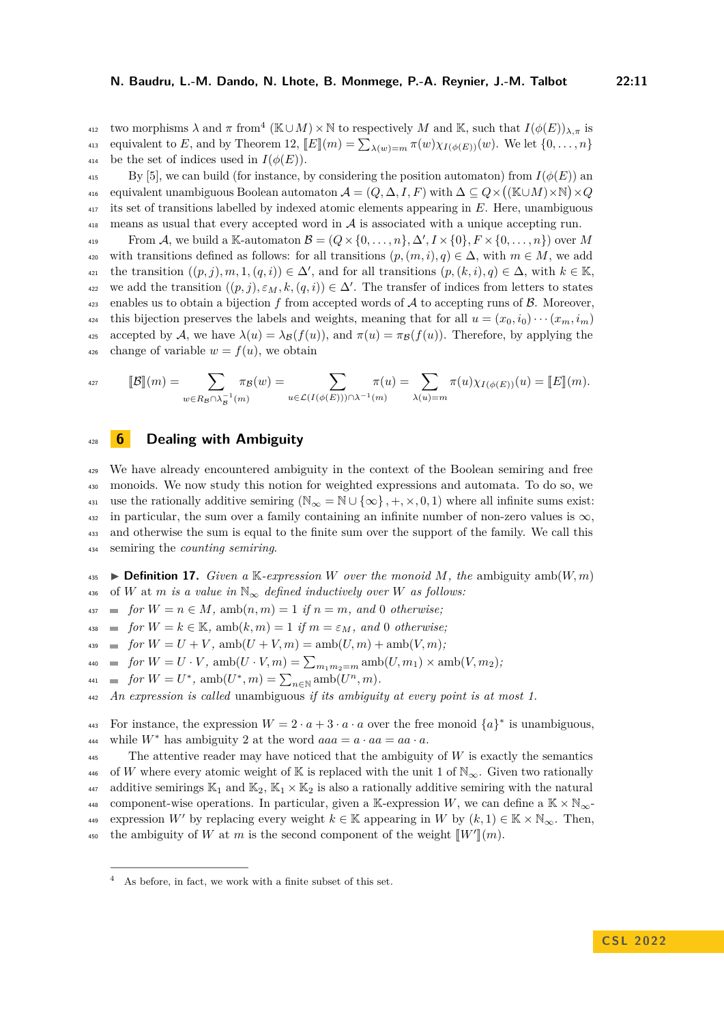two morphisms  $\lambda$  and  $\pi$  from<sup>[4](#page-10-1)</sup> (K∪*M*) × N to respectively *M* and K, such that  $I(\phi(E))_{\lambda,\pi}$  is equivalent to *E*, and by Theorem [12,](#page-7-1)  $\llbracket E \rrbracket(m) = \sum_{\lambda(w)=m} \pi(w) \chi_{I(\phi(E))}(w)$ . We let  $\{0, \ldots, n\}$ <br>and be the set of indices used in  $I(\phi(E))$ . be the set of indices used in  $I(\phi(E))$ .

 $\mathcal{L}_{415}$  By [\[5\]](#page-15-11), we can build (for instance, by considering the position automaton) from  $I(\phi(E))$  and 416 equivalent unambiguous Boolean automaton  $A = (Q, \Delta, I, F)$  with  $\Delta \subseteq Q \times ((\mathbb{K} \cup M) \times \mathbb{N}) \times Q$ <sup>417</sup> its set of transitions labelled by indexed atomic elements appearing in *E*. Here, unambiguous  $\frac{418}{100}$  means as usual that every accepted word in A is associated with a unique accepting run.

From A, we build a K-automaton  $\mathcal{B} = (Q \times \{0, \ldots, n\}, \Delta', I \times \{0\}, F \times \{0, \ldots, n\})$  over M 420 with transitions defined as follows: for all transitions  $(p,(m,i),q) \in \Delta$ , with  $m \in M$ , we add  $t_{421}$  the transition  $((p, j), m, 1, (q, i)) \in \Delta'$ , and for all transitions  $(p, (k, i), q) \in \Delta$ , with  $k \in \mathbb{K}$ , we add the transition  $((p, j), \varepsilon_M, k, (q, i)) \in \Delta'$ . The transfer of indices from letters to states  $\mu_{23}$  enables us to obtain a bijection f from accepted words of A to accepting runs of B. Moreover, 424 this bijection preserves the labels and weights, meaning that for all  $u = (x_0, i_0) \cdots (x_m, i_m)$ 425 accepted by A, we have  $\lambda(u) = \lambda_{\mathcal{B}}(f(u))$ , and  $\pi(u) = \pi_{\mathcal{B}}(f(u))$ . Therefore, by applying the 426 change of variable  $w = f(u)$ , we obtain

$$
\text{arg}\qquad \llbracket \mathcal{B} \rrbracket(m) = \sum_{w \in R_{\mathcal{B}} \cap \lambda_{\mathcal{B}}^{-1}(m)} \pi_{\mathcal{B}}(w) = \sum_{u \in \mathcal{L}(I(\phi(E))) \cap \lambda^{-1}(m)} \pi(u) = \sum_{\lambda(u) = m} \pi(u) \chi_{I(\phi(E))}(u) = \llbracket E \rrbracket(m).
$$

# <span id="page-10-0"></span><sup>428</sup> **6 Dealing with Ambiguity**

 We have already encountered ambiguity in the context of the Boolean semiring and free monoids. We now study this notion for weighted expressions and automata. To do so, we 431 use the rationally additive semiring  $(N_\infty = N \cup {\infty} , +, \times, 0, 1)$  where all infinite sums exist:  $_{432}$  in particular, the sum over a family containing an infinite number of non-zero values is  $\infty$ . and otherwise the sum is equal to the finite sum over the support of the family. We call this semiring the *counting semiring*.

 $\bullet$  **Definition 17.** *Given a* K-*expression W over the monoid M*, the ambiguity amb(*W*, *m*) 436 of *W* at *m is a value in*  $\mathbb{N}_{\infty}$  *defined inductively over W as follows:* 

 $f_{437}$  **for**  $W = n \in M$ ,  $amb(n, m) = 1$  *if*  $n = m$ , and 0 *otherwise*;

 $f \circ m$  **for**  $W = k \in \mathbb{K}$ , amb $(k, m) = 1$  *if*  $m = \varepsilon_M$ , and 0 *otherwise*;

 $f_{439}$  **for**  $W = U + V$ ,  $amb(U + V, m) = amb(U, m) + amb(V, m)$ ;

 $f_{440}$  **a** *for*  $W = U \cdot V$ ,  $amb(U \cdot V, m) = \sum_{m_1 m_2 = m} amb(U, m_1) \times amb(V, m_2)$ ;

 $f \circ r \ W = U^*$ ,  $\mathrm{amb}(U^*, m) = \sum_{n \in \mathbb{N}} \mathrm{amb}(U^n, m)$ .

<sup>442</sup> *An expression is called* unambiguous *if its ambiguity at every point is at most 1.*

For instance, the expression  $W = 2 \cdot a + 3 \cdot a \cdot a$  over the free monoid  $\{a\}^*$  is unambiguous, while  $W^*$  has ambiguity 2 at the word  $aaa = a \cdot aa = aa \cdot a$ .

<sup>445</sup> The attentive reader may have noticed that the ambiguity of *W* is exactly the semantics 446 of *W* where every atomic weight of K is replaced with the unit 1 of  $\mathbb{N}_{\infty}$ . Given two rationally 447 additive semirings  $\mathbb{K}_1$  and  $\mathbb{K}_2$ ,  $\mathbb{K}_1 \times \mathbb{K}_2$  is also a rationally additive semiring with the natural 448 component-wise operations. In particular, given a K-expression W, we can define a  $K \times N_{\infty}$ expression *W'* by replacing every weight  $k \in \mathbb{K}$  appearing in *W* by  $(k, 1) \in \mathbb{K} \times \mathbb{N}_{\infty}$ . Then, the ambiguity of *W* at *m* is the second component of the weight  $\llbracket W' \rrbracket(m)$ .

<span id="page-10-1"></span><sup>4</sup> As before, in fact, we work with a finite subset of this set.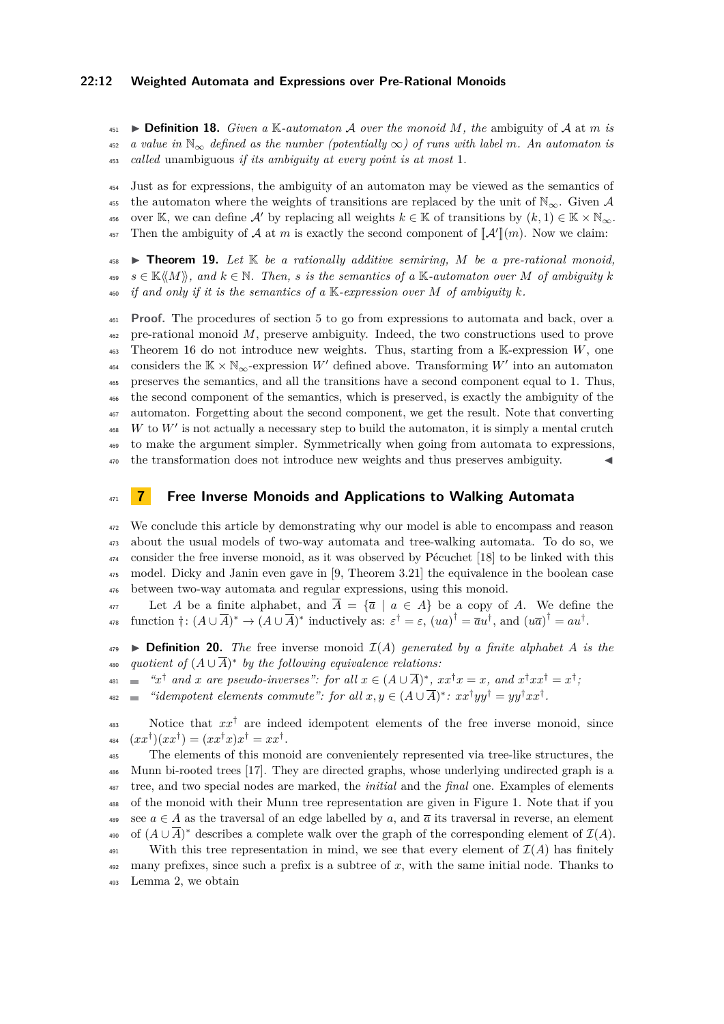#### **22:12 Weighted Automata and Expressions over Pre-Rational Monoids**

 $\bullet$  **Definition 18.** *Given a* K-*automaton A over the monoid M*, the ambiguity of *A* at *m is*  $\frac{452}{452}$  *a value in*  $\mathbb{N}_{\infty}$  *defined as the number (potentially*  $\infty$ ) of runs with label m. An automaton is <sup>453</sup> *called* unambiguous *if its ambiguity at every point is at most* 1*.*

<sup>454</sup> Just as for expressions, the ambiguity of an automaton may be viewed as the semantics of 455 the automaton where the weights of transitions are replaced by the unit of  $\mathbb{N}_{\infty}$ . Given A 456 over K, we can define A' by replacing all weights  $k \in \mathbb{K}$  of transitions by  $(k, 1) \in \mathbb{K} \times \mathbb{N}_{\infty}$ . <sup>457</sup> Then the ambiguity of  $\mathcal A$  at  $m$  is exactly the second component of  $\llbracket \mathcal A' \rrbracket(m)$ . Now we claim:

<span id="page-11-1"></span><sup>458</sup> I **Theorem 19.** *Let* K *be a rationally additive semiring, M be a pre-rational monoid,*  $s \in \mathbb{K}\langle\langle M \rangle\rangle$ , and  $k \in \mathbb{N}$ . Then, s is the semantics of a  $\mathbb{K}$ -automaton over M of ambiguity k  $\mathcal{L}_{460}$  *if and only if it is the semantics of a* K-expression over M of ambiguity k.

 **Proof.** The procedures of section [5](#page-9-0) to go from expressions to automata and back, over a pre-rational monoid *M*, preserve ambiguity. Indeed, the two constructions used to prove Theorem [16](#page-9-2) do not introduce new weights. Thus, starting from a K-expression *W*, one considers the  $K \times N_{\infty}$ -expression *W'* defined above. Transforming *W'* into an automaton preserves the semantics, and all the transitions have a second component equal to 1. Thus, the second component of the semantics, which is preserved, is exactly the ambiguity of the automaton. Forgetting about the second component, we get the result. Note that converting  $^{468}$  *W* to *W*<sup> $\prime$ </sup> is not actually a necessary step to build the automaton, it is simply a mental crutch to make the argument simpler. Symmetrically when going from automata to expressions, the transformation does not introduce new weights and thus preserves ambiguity. J

### <span id="page-11-0"></span><sup>471</sup> **7 Free Inverse Monoids and Applications to Walking Automata**

 We conclude this article by demonstrating why our model is able to encompass and reason about the usual models of two-way automata and tree-walking automata. To do so, we consider the free inverse monoid, as it was observed by Pécuchet [\[18\]](#page-15-12) to be linked with this model. Dicky and Janin even gave in [\[9,](#page-15-3) Theorem 3.21] the equivalence in the boolean case between two-way automata and regular expressions, using this monoid.

 $\frac{477}{477}$  Let *A* be a finite alphabet, and  $\overline{A} = {\overline{a} \mid a \in A}$  be a copy of *A*. We define the  $f_{478}$  function  $\dagger$ :  $(A \cup \overline{A})^* \rightarrow (A \cup \overline{A})^*$  inductively as:  $\varepsilon^{\dagger} = \varepsilon$ ,  $(ua)^{\dagger} = \overline{a}u^{\dagger}$ , and  $(u\overline{a})^{\dagger} = au^{\dagger}$ .

 $479$  **Definition 20.** *The* free inverse monoid  $\mathcal{I}(A)$  generated by a finite alphabet A is the  $_{{\tiny \rm 480}}$  *quotient of*  $(A\cup\overline A)^*$  by the following equivalence relations:

- $f(x) = x^{\dagger}$  *and x* are pseudo-inverses": for all  $x \in (A \cup \overline{A})^*,$   $xx^{\dagger}x = x$ , and  $x^{\dagger}xx^{\dagger} = x^{\dagger}$ ;
- $\bullet$  *"idempotent elements commute": for all*  $x, y \in (A \cup \overline{A})^*$ :  $xx^{\dagger}yy^{\dagger} = yy^{\dagger}xx^{\dagger}$ .

A83 Notice that  $xx^{\dagger}$  are indeed idempotent elements of the free inverse monoid, since  $(xx^{\dagger})(xx^{\dagger}) = (xx^{\dagger}x)x^{\dagger} = xx^{\dagger}.$ 

<sup>485</sup> The elements of this monoid are convenientely represented via tree-like structures, the <sup>486</sup> Munn bi-rooted trees [\[17\]](#page-15-13). They are directed graphs, whose underlying undirected graph is a <sup>487</sup> tree, and two special nodes are marked, the *initial* and the *final* one. Examples of elements <sup>488</sup> of the monoid with their Munn tree representation are given in Figure [1.](#page-12-0) Note that if you 489 see  $a \in A$  as the traversal of an edge labelled by a, and  $\overline{a}$  its traversal in reverse, an element <sup>490</sup> of  $(A \cup \overline{A})^*$  describes a complete walk over the graph of the corresponding element of  $\mathcal{I}(A)$ . 491 With this tree representation in mind, we see that every element of  $\mathcal{I}(A)$  has finitely

<sup>492</sup> many prefixes, since such a prefix is a subtree of *x*, with the same initial node. Thanks to <sup>493</sup> Lemma [2,](#page-2-1) we obtain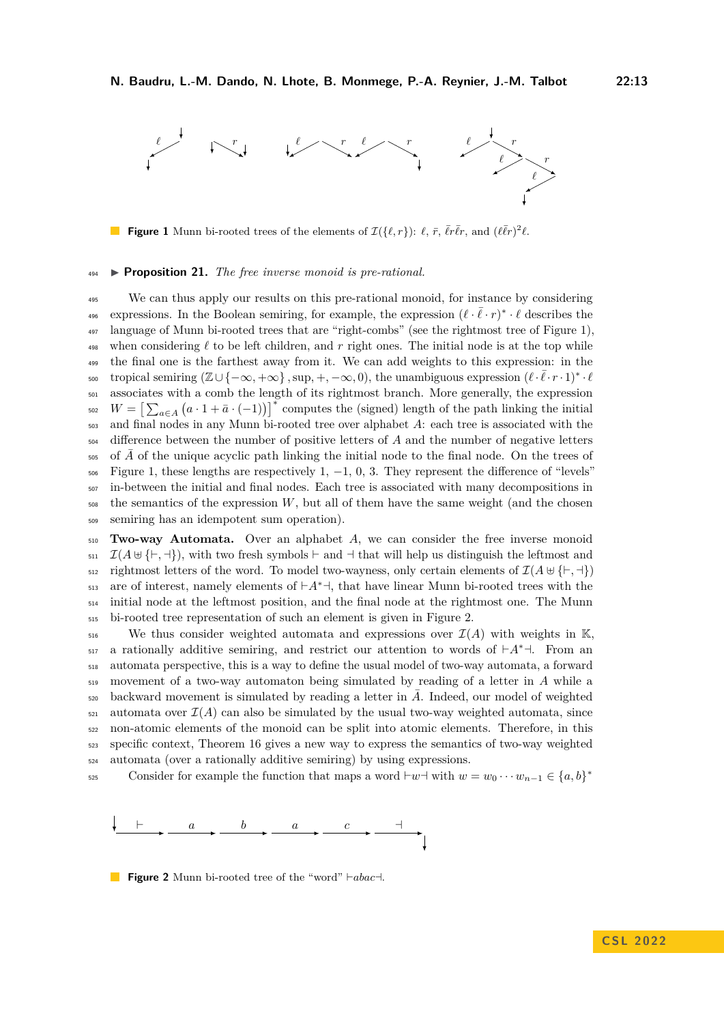<span id="page-12-0"></span>

**Figure 1** Munn bi-rooted trees of the elements of  $\mathcal{I}(\{\ell, r\})$ :  $\ell$ ,  $\bar{r}$ ,  $\bar{\ell}r\bar{\ell}r$ , and  $(\ell\bar{\ell}r)^2\ell$ .

#### <sup>494</sup> I **Proposition 21.** *The free inverse monoid is pre-rational.*

 We can thus apply our results on this pre-rational monoid, for instance by considering expressions. In the Boolean semiring, for example, the expression  $(\ell \cdot \bar{\ell} \cdot r)^* \cdot \ell$  describes the language of Munn bi-rooted trees that are "right-combs" (see the rightmost tree of Figure [1\)](#page-12-0), 498 when considering  $\ell$  to be left children, and  $r$  right ones. The initial node is at the top while <sup>499</sup> the final one is the farthest away from it. We can add weights to this expression: in the tropical semiring  $(\mathbb{Z}\cup\{-\infty, +\infty\}, \sup, +, -\infty, 0)$ , the unambiguous expression  $(\ell \cdot \bar{\ell} \cdot r \cdot 1)^* \cdot \ell$  associates with a comb the length of its rightmost branch. More generally, the expression <sup>502</sup>  $W = \left[\sum_{a \in A} (a \cdot 1 + \bar{a} \cdot (-1))\right]^*$  computes the (signed) length of the path linking the initial and final nodes in any Munn bi-rooted tree over alphabet *A*: each tree is associated with the difference between the number of positive letters of *A* and the number of negative letters of A of the unique acyclic path linking the initial node to the final node. On the trees of Figure [1,](#page-12-0) these lengths are respectively 1,  $-1$ , 0, 3. They represent the difference of "levels" in-between the initial and final nodes. Each tree is associated with many decompositions in the semantics of the expression *W*, but all of them have the same weight (and the chosen semiring has an idempotent sum operation).

<sup>510</sup> **Two-way Automata.** Over an alphabet *A*, we can consider the free inverse monoid  $\mathcal{I}(A \cup \{\vdash, \dashv\})$ , with two fresh symbols  $\vdash$  and  $\neg$  that will help us distinguish the leftmost and  $\mathcal{F}_{\text{512}}$  rightmost letters of the word. To model two-wayness, only certain elements of  $\mathcal{I}(A \oplus \{\vdash, \dashv\})$ are of interest, namely elements of  $\vdash A^* \dashv$ , that have linear Munn bi-rooted trees with the <sup>514</sup> initial node at the leftmost position, and the final node at the rightmost one. The Munn <sup>515</sup> bi-rooted tree representation of such an element is given in Figure [2.](#page-12-1)

 $_{516}$  We thus consider weighted automata and expressions over  $\mathcal{I}(A)$  with weights in K,  $_{517}$  a rationally additive semiring, and restrict our attention to words of  $\vdash A^* \dashv$ . From an <sup>518</sup> automata perspective, this is a way to define the usual model of two-way automata, a forward <sup>519</sup> movement of a two-way automaton being simulated by reading of a letter in *A* while a backward movement is simulated by reading a letter in  $\overline{A}$ . Indeed, our model of weighted  $\epsilon_{21}$  automata over  $\mathcal{I}(A)$  can also be simulated by the usual two-way weighted automata, since <sup>522</sup> non-atomic elements of the monoid can be split into atomic elements. Therefore, in this <sup>523</sup> specific context, Theorem [16](#page-9-2) gives a new way to express the semantics of two-way weighted <sup>524</sup> automata (over a rationally additive semiring) by using expressions.

Consider for example the function that maps a word  $\vdash w \dashv w \dashv \text{with } w = w_0 \cdots w_{n-1} \in \{a, b\}^*$ 525

<span id="page-12-1"></span>

**Figure 2** Munn bi-rooted tree of the "word"  $\neg$   $\vdash abac \dashv$ .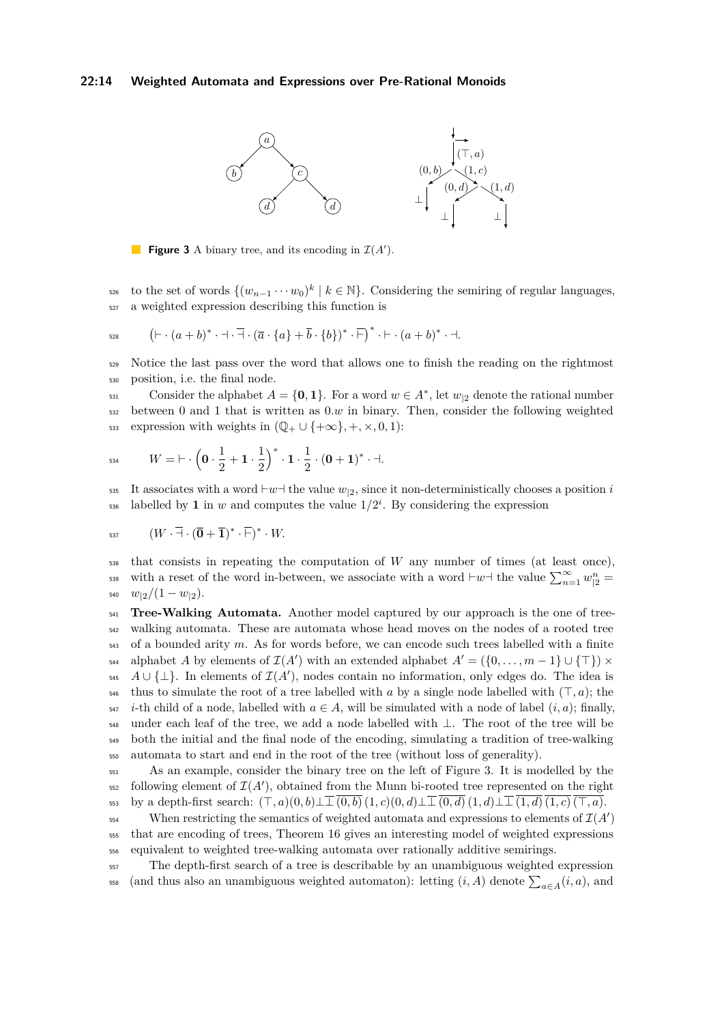### <span id="page-13-0"></span>**22:14 Weighted Automata and Expressions over Pre-Rational Monoids**



**Figure 3** A binary tree, and its encoding in  $\mathcal{I}(A')$ .

to the set of words  $\{(w_{n-1} \cdots w_0)^k \mid k \in \mathbb{N}\}\$ . Considering the semiring of regular languages, <sup>527</sup> a weighted expression describing this function is

$$
\qquad \qquad \mathfrak{h}:=\left(\vdash \cdot (a+b)^{*}\cdot \dashv \cdot \overline{\dashv}\cdot (\overline{a}\cdot \{a\}+\overline{b}\cdot \{b\})^{*}\cdot \overline{\vdash}\right)^{*}\cdot \vdash \cdot (a+b)^{*}\cdot \dashv.
$$

<sup>529</sup> Notice the last pass over the word that allows one to finish the reading on the rightmost <sup>530</sup> position, i.e. the final node.

Consider the alphabet  $A = \{0, 1\}$ . For a word  $w \in A^*$ , let  $w_{12}$  denote the rational number <sup>532</sup> between 0 and 1 that is written as 0*.w* in binary. Then, consider the following weighted  $\sum_{533}$  expression with weights in  $(\mathbb{Q}_+ \cup \{+\infty\}, +, \times, 0, 1)$ :

$$
W = \vdash \cdot \left(\mathbf{0} \cdot \frac{1}{2} + \mathbf{1} \cdot \frac{1}{2}\right)^* \cdot \mathbf{1} \cdot \frac{1}{2} \cdot (\mathbf{0} + \mathbf{1})^* \cdot \dashv.
$$

535 It associates with a word  $\mu$ <sup>-</sup> the value  $w_{12}$ , since it non-deterministically chooses a position *i* ssa labelled by **1** in *w* and computes the value  $1/2^i$ . By considering the expression

$$
_{537} \qquad (W \cdot \overline{\dashv} \cdot (\overline{\mathbf{0}} + \overline{\mathbf{1}})^* \cdot \overline{\vdash})^* \cdot W.
$$

<sup>538</sup> that consists in repeating the computation of *W* any number of times (at least once), with a reset of the word in-between, we associate with a word  $\vdash w \dashv$  the value  $\sum_{n=1}^{\infty} w_{|2}^n =$  $w_{12}/(1-w_{12}).$ 

<sup>541</sup> **Tree-Walking Automata.** Another model captured by our approach is the one of tree-<sup>542</sup> walking automata. These are automata whose head moves on the nodes of a rooted tree <sup>543</sup> of a bounded arity *m*. As for words before, we can encode such trees labelled with a finite  $A_4$  alphabet *A* by elements of  $\mathcal{I}(A')$  with an extended alphabet  $A' = (\{0, \ldots, m-1\} \cup \{\top\}) \times$  $A \cup {\{\perp\}}$ . In elements of  $\mathcal{I}(A')$ , nodes contain no information, only edges do. The idea is <sup>546</sup> thus to simulate the root of a tree labelled with *a* by a single node labelled with  $(\top, a)$ ; the  $\begin{bmatrix} 547 & i\text{-th child of a node, labelled with } a \in A, \text{ will be simulated with a node of label } (i, a); \text{ finally,} \end{bmatrix}$ <sup>548</sup> under each leaf of the tree, we add a node labelled with ⊥. The root of the tree will be <sup>549</sup> both the initial and the final node of the encoding, simulating a tradition of tree-walking <sup>550</sup> automata to start and end in the root of the tree (without loss of generality).

<sup>551</sup> As an example, consider the binary tree on the left of Figure [3.](#page-13-0) It is modelled by the  $552$  following element of  $\mathcal{I}(A')$ , obtained from the Munn bi-rooted tree represented on the right 553 by a depth-first search:  $(\top, a)(0, b) \perp \perp (0, b)(1, c)(0, d) \perp \perp (0, d)(1, d) \perp \perp (1, d)(1, c)(\top, a).$ 

When restricting the semantics of weighted automata and expressions to elements of  $\mathcal{I}(A')$ <sup>555</sup> that are encoding of trees, Theorem [16](#page-9-2) gives an interesting model of weighted expressions <sup>556</sup> equivalent to weighted tree-walking automata over rationally additive semirings.

<sup>557</sup> The depth-first search of a tree is describable by an unambiguous weighted expression <sup>558</sup> (and thus also an unambiguous weighted automaton): letting  $(i, A)$  denote  $\sum_{a \in A} (i, a)$ , and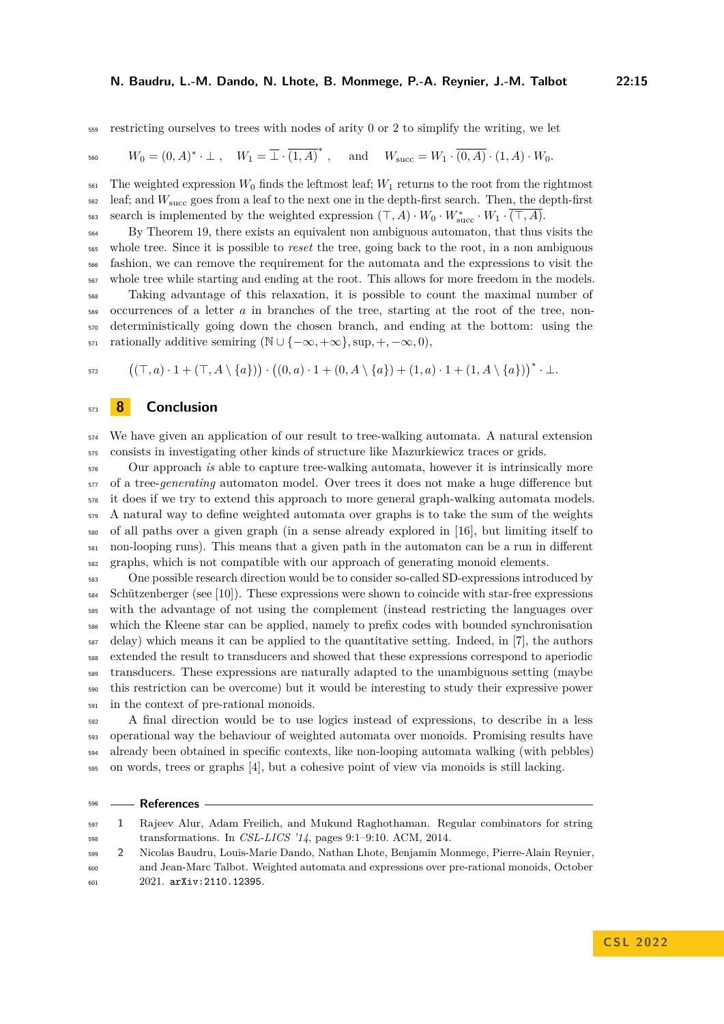#### **N. Baudru, L.-M. Dando, N. Lhote, B. Monmege, P.-A. Reynier, J.-M. Talbot 22:15**

restricting ourselves to trees with nodes of arity 0 or 2 to simplify the writing, we let

$$
W_0=(0,A)^*\cdot \bot\;,\quad W_1=\overline{\bot}\cdot\overline{(1,A)}^*\;,\quad \text{ and }\quad W_{\text{succ}}=W_1\cdot\overline{(0,A)}\cdot (1,A)\cdot W_0.
$$

 $\frac{561}{100}$  The weighted expression  $W_0$  finds the leftmost leaf;  $W_1$  returns to the root from the rightmost leaf; and *W*succ goes from a leaf to the next one in the depth-first search. Then, the depth-first search is implemented by the weighted expression  $(\top, A) \cdot W_0 \cdot W_{succ}^* \cdot W_1 \cdot \overline{(\top, A)}$ .

 By Theorem [19,](#page-11-1) there exists an equivalent non ambiguous automaton, that thus visits the whole tree. Since it is possible to *reset* the tree, going back to the root, in a non ambiguous fashion, we can remove the requirement for the automata and the expressions to visit the whole tree while starting and ending at the root. This allows for more freedom in the models. Taking advantage of this relaxation, it is possible to count the maximal number of occurrences of a letter *a* in branches of the tree, starting at the root of the tree, non-deterministically going down the chosen branch, and ending at the bottom: using the

571 rationally additive semiring  $(\mathbb{N} \cup \{-\infty, +\infty\}, \sup, +, -\infty, 0),$ 

$$
{}_{572} \qquad \left( (\top, a) \cdot 1 + (\top, A \setminus \{a\}) \right) \cdot \left( (0, a) \cdot 1 + (0, A \setminus \{a\}) + (1, a) \cdot 1 + (1, A \setminus \{a\}) \right)^* \cdot \bot.
$$

# **8 Conclusion**

 We have given an application of our result to tree-walking automata. A natural extension consists in investigating other kinds of structure like Mazurkiewicz traces or grids.

 Our approach *is* able to capture tree-walking automata, however it is intrinsically more of a tree-*generating* automaton model. Over trees it does not make a huge difference but it does if we try to extend this approach to more general graph-walking automata models. A natural way to define weighted automata over graphs is to take the sum of the weights of all paths over a given graph (in a sense already explored in [\[16\]](#page-15-14), but limiting itself to non-looping runs). This means that a given path in the automaton can be a run in different graphs, which is not compatible with our approach of generating monoid elements.

 One possible research direction would be to consider so-called SD-expressions introduced by Schützenberger (see [\[10\]](#page-15-15)). These expressions were shown to coincide with star-free expressions with the advantage of not using the complement (instead restricting the languages over which the Kleene star can be applied, namely to prefix codes with bounded synchronisation delay) which means it can be applied to the quantitative setting. Indeed, in [\[7\]](#page-15-16), the authors extended the result to transducers and showed that these expressions correspond to aperiodic transducers. These expressions are naturally adapted to the unambiguous setting (maybe this restriction can be overcome) but it would be interesting to study their expressive power in the context of pre-rational monoids.

 A final direction would be to use logics instead of expressions, to describe in a less operational way the behaviour of weighted automata over monoids. Promising results have already been obtained in specific contexts, like non-looping automata walking (with pebbles) on words, trees or graphs [\[4\]](#page-15-17), but a cohesive point of view via monoids is still lacking.

#### **References**

- <span id="page-14-1"></span> **1** Rajeev Alur, Adam Freilich, and Mukund Raghothaman. Regular combinators for string transformations. In *CSL-LICS '14*, pages 9:1–9:10. ACM, 2014.
- <span id="page-14-0"></span> **2** Nicolas Baudru, Louis-Marie Dando, Nathan Lhote, Benjamin Monmege, Pierre-Alain Reynier, and Jean-Marc Talbot. Weighted automata and expressions over pre-rational monoids, October 2021. [arXiv:2110.12395](http://arxiv.org/abs/2110.12395).